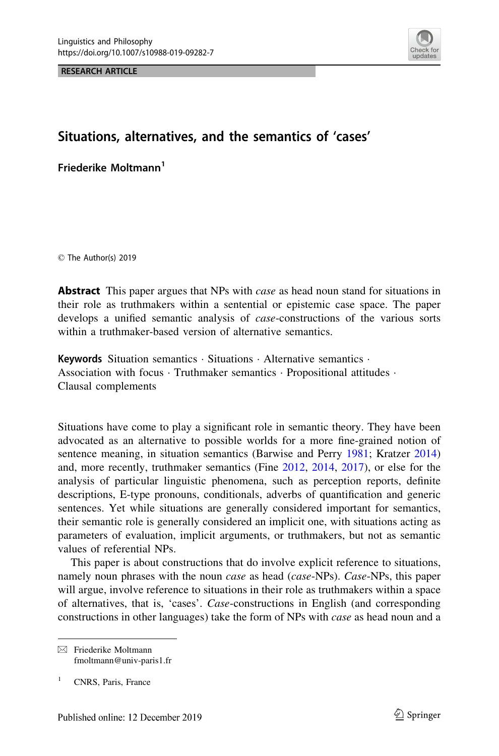RESEARCH ARTICLE



# Situations, alternatives, and the semantics of 'cases'

Friederike Moltmann<sup>1</sup>

© The Author(s) 2019

**Abstract** This paper argues that NPs with *case* as head noun stand for situations in their role as truthmakers within a sentential or epistemic case space. The paper develops a unified semantic analysis of *case*-constructions of the various sorts within a truthmaker-based version of alternative semantics.

Keywords Situation semantics · Situations · Alternative semantics · Association with focus · Truthmaker semantics · Propositional attitudes · Clausal complements

Situations have come to play a significant role in semantic theory. They have been advocated as an alternative to possible worlds for a more fine-grained notion of sentence meaning, in situation semantics (Barwise and Perry [1981](#page-38-0); Kratzer [2014\)](#page-39-0) and, more recently, truthmaker semantics (Fine [2012,](#page-38-0) [2014,](#page-38-0) [2017\)](#page-38-0), or else for the analysis of particular linguistic phenomena, such as perception reports, definite descriptions, E-type pronouns, conditionals, adverbs of quantification and generic sentences. Yet while situations are generally considered important for semantics, their semantic role is generally considered an implicit one, with situations acting as parameters of evaluation, implicit arguments, or truthmakers, but not as semantic values of referential NPs.

This paper is about constructions that do involve explicit reference to situations, namely noun phrases with the noun case as head (case-NPs). Case-NPs, this paper will argue, involve reference to situations in their role as truthmakers within a space of alternatives, that is, 'cases'. Case-constructions in English (and corresponding constructions in other languages) take the form of NPs with case as head noun and a

 $\boxtimes$  Friederike Moltmann fmoltmann@univ-paris1.fr

<sup>&</sup>lt;sup>1</sup> CNRS, Paris, France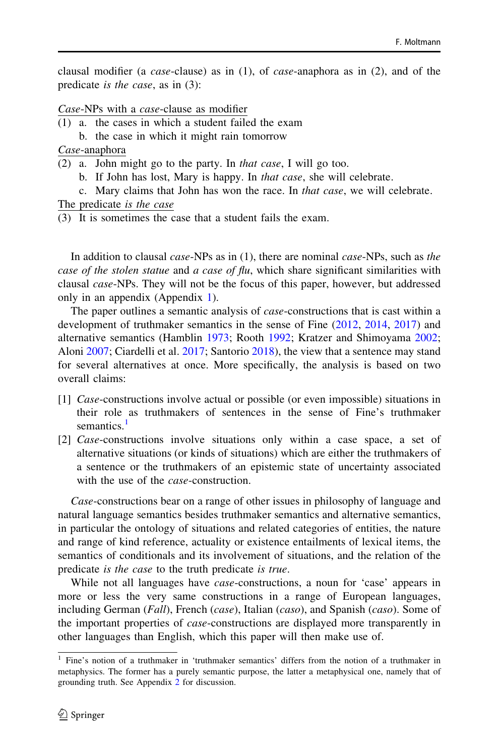clausal modifier (a *case*-clause) as in  $(1)$ , of *case*-anaphora as in  $(2)$ , and of the predicate is the case, as in (3):

Case-NPs with a case-clause as modifier

- (1) a. the cases in which a student failed the exam
	- b. the case in which it might rain tomorrow

Case-anaphora

- (2) a. John might go to the party. In that case, I will go too.
	- b. If John has lost, Mary is happy. In that case, she will celebrate.
	- c. Mary claims that John has won the race. In that case, we will celebrate.

The predicate is the case

(3) It is sometimes the case that a student fails the exam.

In addition to clausal *case*-NPs as in (1), there are nominal *case*-NPs, such as the case of the stolen statue and a case of flu, which share significant similarities with clausal case-NPs. They will not be the focus of this paper, however, but addressed only in an appendix (Appendix [1](#page-32-0)).

The paper outlines a semantic analysis of *case*-constructions that is cast within a development of truthmaker semantics in the sense of Fine ([2012,](#page-38-0) [2014](#page-38-0), [2017](#page-38-0)) and alternative semantics (Hamblin [1973;](#page-38-0) Rooth [1992](#page-39-0); Kratzer and Shimoyama [2002;](#page-39-0) Aloni [2007](#page-38-0); Ciardelli et al. [2017;](#page-38-0) Santorio [2018\)](#page-39-0), the view that a sentence may stand for several alternatives at once. More specifically, the analysis is based on two overall claims:

- [1] Case-constructions involve actual or possible (or even impossible) situations in their role as truthmakers of sentences in the sense of Fine's truthmaker semantics. $<sup>1</sup>$ </sup>
- [2] *Case*-constructions involve situations only within a case space, a set of alternative situations (or kinds of situations) which are either the truthmakers of a sentence or the truthmakers of an epistemic state of uncertainty associated with the use of the *case*-construction.

Case-constructions bear on a range of other issues in philosophy of language and natural language semantics besides truthmaker semantics and alternative semantics, in particular the ontology of situations and related categories of entities, the nature and range of kind reference, actuality or existence entailments of lexical items, the semantics of conditionals and its involvement of situations, and the relation of the predicate is the case to the truth predicate is true.

While not all languages have *case*-constructions, a noun for 'case' appears in more or less the very same constructions in a range of European languages, including German (Fall), French (case), Italian (caso), and Spanish (caso). Some of the important properties of case-constructions are displayed more transparently in other languages than English, which this paper will then make use of.

<sup>1</sup> Fine's notion of a truthmaker in 'truthmaker semantics' differs from the notion of a truthmaker in metaphysics. The former has a purely semantic purpose, the latter a metaphysical one, namely that of grounding truth. See Appendix [2](#page-36-0) for discussion.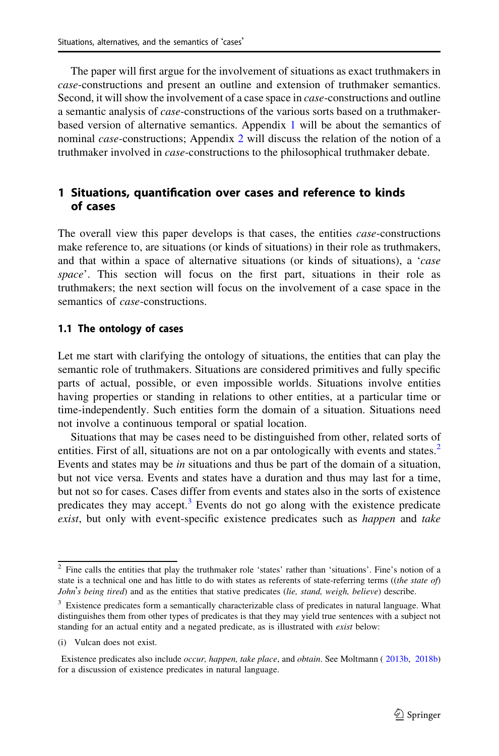The paper will first argue for the involvement of situations as exact truthmakers in case-constructions and present an outline and extension of truthmaker semantics. Second, it will show the involvement of a case space in *case*-constructions and outline a semantic analysis of case-constructions of the various sorts based on a truthmakerbased version of alternative semantics. Appendix [1](#page-32-0) will be about the semantics of nominal *case*-constructions; Appendix [2](#page-36-0) will discuss the relation of the notion of a truthmaker involved in case-constructions to the philosophical truthmaker debate.

## 1 Situations, quantification over cases and reference to kinds of cases

The overall view this paper develops is that cases, the entities *case*-constructions make reference to, are situations (or kinds of situations) in their role as truthmakers, and that within a space of alternative situations (or kinds of situations), a 'case space'. This section will focus on the first part, situations in their role as truthmakers; the next section will focus on the involvement of a case space in the semantics of *case*-constructions.

#### 1.1 The ontology of cases

Let me start with clarifying the ontology of situations, the entities that can play the semantic role of truthmakers. Situations are considered primitives and fully specific parts of actual, possible, or even impossible worlds. Situations involve entities having properties or standing in relations to other entities, at a particular time or time-independently. Such entities form the domain of a situation. Situations need not involve a continuous temporal or spatial location.

Situations that may be cases need to be distinguished from other, related sorts of entities. First of all, situations are not on a par ontologically with events and states.<sup>2</sup> Events and states may be in situations and thus be part of the domain of a situation, but not vice versa. Events and states have a duration and thus may last for a time, but not so for cases. Cases differ from events and states also in the sorts of existence predicates they may accept.<sup>3</sup> Events do not go along with the existence predicate exist, but only with event-specific existence predicates such as *happen* and *take* 

<sup>2</sup> Fine calls the entities that play the truthmaker role 'states' rather than 'situations'. Fine's notion of a state is a technical one and has little to do with states as referents of state-referring terms ((the state of) John's being tired) and as the entities that stative predicates (lie, stand, weigh, believe) describe.

<sup>&</sup>lt;sup>3</sup> Existence predicates form a semantically characterizable class of predicates in natural language. What distinguishes them from other types of predicates is that they may yield true sentences with a subject not standing for an actual entity and a negated predicate, as is illustrated with exist below:

<sup>(</sup>i) Vulcan does not exist.

Existence predicates also include occur, happen, take place, and obtain. See Moltmann ( [2013b,](#page-39-0) [2018b\)](#page-38-0) for a discussion of existence predicates in natural language.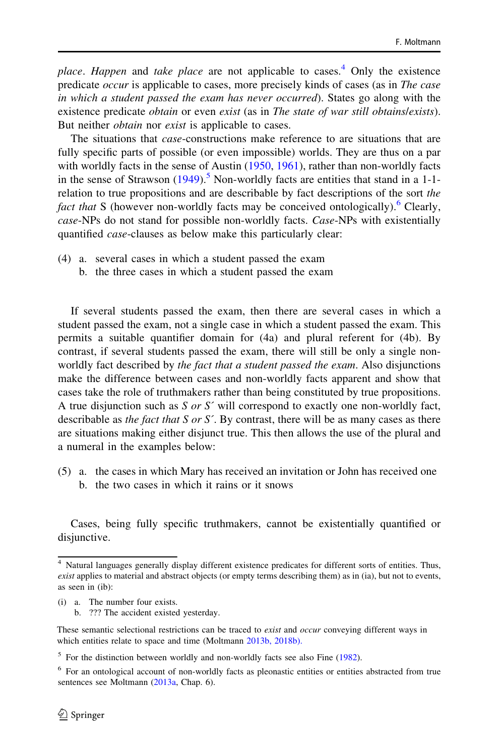place. Happen and take place are not applicable to cases.<sup>4</sup> Only the existence predicate occur is applicable to cases, more precisely kinds of cases (as in The case in which a student passed the exam has never occurred). States go along with the existence predicate *obtain* or even *exist* (as in *The state of war still obtains/exists)*. But neither *obtain* nor *exist* is applicable to cases.

The situations that *case*-constructions make reference to are situations that are fully specific parts of possible (or even impossible) worlds. They are thus on a par with worldly facts in the sense of Austin ([1950,](#page-38-0) [1961\)](#page-38-0), rather than non-worldly facts in the sense of Strawson  $(1949)$  $(1949)$ .<sup>5</sup> Non-worldly facts are entities that stand in a 1-1relation to true propositions and are describable by fact descriptions of the sort the fact that S (however non-worldly facts may be conceived ontologically).<sup>6</sup> Clearly, case-NPs do not stand for possible non-worldly facts. Case-NPs with existentially quantified case-clauses as below make this particularly clear:

- (4) a. several cases in which a student passed the exam
	- b. the three cases in which a student passed the exam

If several students passed the exam, then there are several cases in which a student passed the exam, not a single case in which a student passed the exam. This permits a suitable quantifier domain for (4a) and plural referent for (4b). By contrast, if several students passed the exam, there will still be only a single nonworldly fact described by the fact that a student passed the exam. Also disjunctions make the difference between cases and non-worldly facts apparent and show that cases take the role of truthmakers rather than being constituted by true propositions. A true disjunction such as  $S$  or  $S'$  will correspond to exactly one non-worldly fact, describable as the fact that S or S'. By contrast, there will be as many cases as there are situations making either disjunct true. This then allows the use of the plural and a numeral in the examples below:

(5) a. the cases in which Mary has received an invitation or John has received one b. the two cases in which it rains or it snows

Cases, being fully specific truthmakers, cannot be existentially quantified or disjunctive.

- (i) a. The number four exists.
	- b. ??? The accident existed yesterday.

<sup>4</sup> Natural languages generally display different existence predicates for different sorts of entities. Thus, exist applies to material and abstract objects (or empty terms describing them) as in (ia), but not to events, as seen in (ib):

These semantic selectional restrictions can be traced to exist and occur conveying different ways in which entities relate to space and time (Moltmann 2013b, 2018b).

<sup>5</sup> For the distinction between worldly and non-worldly facts see also Fine ([1982\)](#page-38-0).

<sup>6</sup> For an ontological account of non-worldly facts as pleonastic entities or entities abstracted from true sentences see Moltmann ([2013a,](#page-39-0) Chap. 6).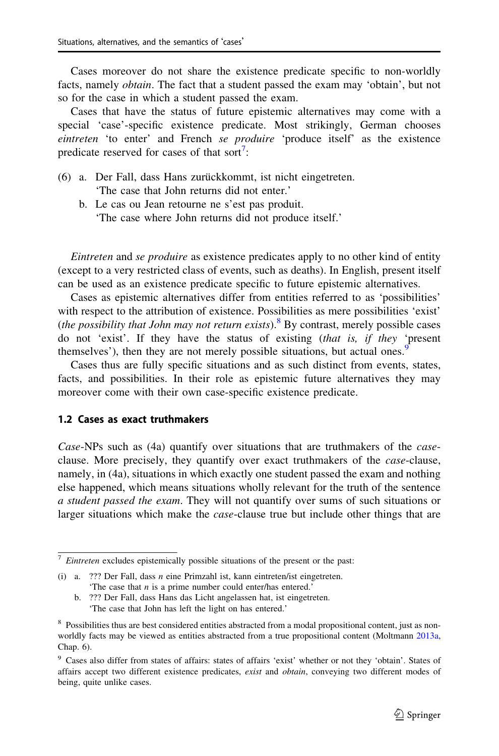Cases moreover do not share the existence predicate specific to non-worldly facts, namely obtain. The fact that a student passed the exam may 'obtain', but not so for the case in which a student passed the exam.

Cases that have the status of future epistemic alternatives may come with a special 'case'-specific existence predicate. Most strikingly, German chooses eintreten 'to enter' and French se produire 'produce itself' as the existence predicate reserved for cases of that sort<sup>7</sup>:

- (6) a. Der Fall, dass Hans zurückkommt, ist nicht eingetreten. 'The case that John returns did not enter.'
	- b. Le cas ou Jean retourne ne s'est pas produit. 'The case where John returns did not produce itself.'

Eintreten and se produire as existence predicates apply to no other kind of entity (except to a very restricted class of events, such as deaths). In English, present itself can be used as an existence predicate specific to future epistemic alternatives.

Cases as epistemic alternatives differ from entities referred to as 'possibilities' with respect to the attribution of existence. Possibilities as mere possibilities 'exist' (the possibility that John may not return exists).<sup>8</sup> By contrast, merely possible cases do not 'exist'. If they have the status of existing (that is, if they 'present themselves'), then they are not merely possible situations, but actual ones.<sup>9</sup>

Cases thus are fully specific situations and as such distinct from events, states, facts, and possibilities. In their role as epistemic future alternatives they may moreover come with their own case-specific existence predicate.

#### 1.2 Cases as exact truthmakers

Case-NPs such as (4a) quantify over situations that are truthmakers of the *case*clause. More precisely, they quantify over exact truthmakers of the *case*-clause, namely, in (4a), situations in which exactly one student passed the exam and nothing else happened, which means situations wholly relevant for the truth of the sentence a student passed the exam. They will not quantify over sums of such situations or larger situations which make the *case*-clause true but include other things that are

 $7$  Eintreten excludes epistemically possible situations of the present or the past:

<sup>(</sup>i) a. ??? Der Fall, dass n eine Primzahl ist, kann eintreten/ist eingetreten. 'The case that  $n$  is a prime number could enter/has entered.'

b. ??? Der Fall, dass Hans das Licht angelassen hat, ist eingetreten. 'The case that John has left the light on has entered.'

<sup>&</sup>lt;sup>8</sup> Possibilities thus are best considered entities abstracted from a modal propositional content, just as nonworldly facts may be viewed as entities abstracted from a true propositional content (Moltmann [2013a](#page-39-0), Chap. 6).

<sup>9</sup> Cases also differ from states of affairs: states of affairs 'exist' whether or not they 'obtain'. States of affairs accept two different existence predicates, exist and obtain, conveying two different modes of being, quite unlike cases.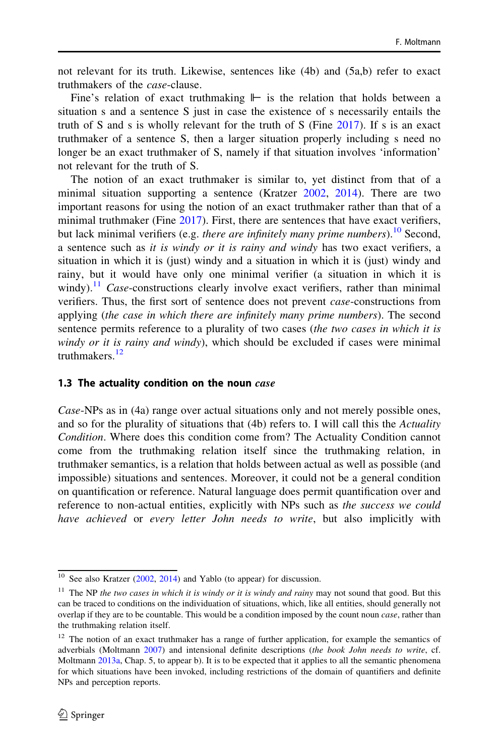not relevant for its truth. Likewise, sentences like (4b) and (5a,b) refer to exact truthmakers of the case-clause.

Fine's relation of exact truthmaking ⊩ is the relation that holds between a situation s and a sentence S just in case the existence of s necessarily entails the truth of S and s is wholly relevant for the truth of S (Fine [2017\)](#page-38-0). If s is an exact truthmaker of a sentence S, then a larger situation properly including s need no longer be an exact truthmaker of S, namely if that situation involves 'information' not relevant for the truth of S.

The notion of an exact truthmaker is similar to, yet distinct from that of a minimal situation supporting a sentence (Kratzer  $2002$ ,  $2014$ ). There are two important reasons for using the notion of an exact truthmaker rather than that of a minimal truthmaker (Fine [2017](#page-38-0)). First, there are sentences that have exact verifiers, but lack minimal verifiers (e.g. *there are infinitely many prime numbers*).<sup>10</sup> Second, a sentence such as it is windy or it is rainy and windy has two exact verifiers, a situation in which it is (just) windy and a situation in which it is (just) windy and rainy, but it would have only one minimal verifier (a situation in which it is windy).<sup>11</sup> Case-constructions clearly involve exact verifiers, rather than minimal verifiers. Thus, the first sort of sentence does not prevent case-constructions from applying (the case in which there are infinitely many prime numbers). The second sentence permits reference to a plurality of two cases (the two cases in which it is windy or it is rainy and windy), which should be excluded if cases were minimal truthmakers.<sup>12</sup>

#### 1.3 The actuality condition on the noun  $case$

Case-NPs as in (4a) range over actual situations only and not merely possible ones, and so for the plurality of situations that (4b) refers to. I will call this the Actuality Condition. Where does this condition come from? The Actuality Condition cannot come from the truthmaking relation itself since the truthmaking relation, in truthmaker semantics, is a relation that holds between actual as well as possible (and impossible) situations and sentences. Moreover, it could not be a general condition on quantification or reference. Natural language does permit quantification over and reference to non-actual entities, explicitly with NPs such as the success we could have achieved or every letter John needs to write, but also implicitly with

<sup>&</sup>lt;sup>10</sup> See also Kratzer ([2002,](#page-39-0) [2014](#page-39-0)) and Yablo (to appear) for discussion.

 $11$  The NP the two cases in which it is windy or it is windy and rainy may not sound that good. But this can be traced to conditions on the individuation of situations, which, like all entities, should generally not overlap if they are to be countable. This would be a condition imposed by the count noun *case*, rather than the truthmaking relation itself.

<sup>&</sup>lt;sup>12</sup> The notion of an exact truthmaker has a range of further application, for example the semantics of adverbials (Moltmann [2007\)](#page-39-0) and intensional definite descriptions (the book John needs to write, cf. Moltmann [2013a,](#page-39-0) Chap. 5, to appear b). It is to be expected that it applies to all the semantic phenomena for which situations have been invoked, including restrictions of the domain of quantifiers and definite NPs and perception reports.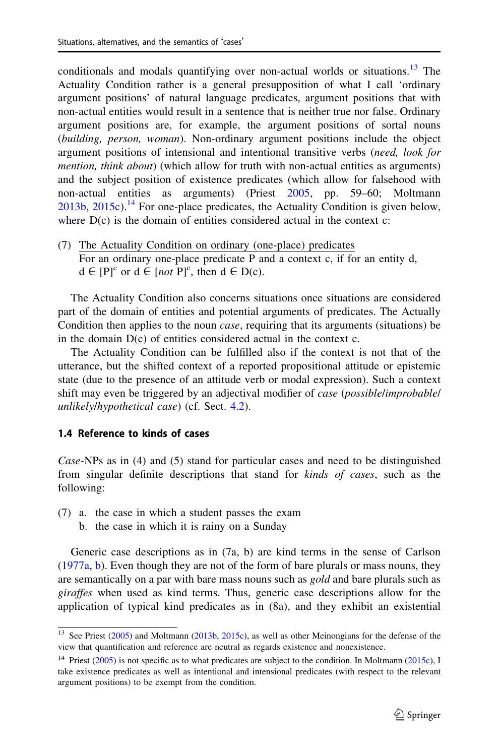conditionals and modals quantifying over non-actual worlds or situations.<sup>13</sup> The Actuality Condition rather is a general presupposition of what I call 'ordinary argument positions' of natural language predicates, argument positions that with non-actual entities would result in a sentence that is neither true nor false. Ordinary argument positions are, for example, the argument positions of sortal nouns (building, person, woman). Non-ordinary argument positions include the object argument positions of intensional and intentional transitive verbs (need, look for mention, think about) (which allow for truth with non-actual entities as arguments) and the subject position of existence predicates (which allow for falsehood with non-actual entities as arguments) (Priest [2005](#page-39-0), pp. 59–60; Moltmann  $2013b$ ,  $2015c$ ).<sup>14</sup> For one-place predicates, the Actuality Condition is given below, where  $D(c)$  is the domain of entities considered actual in the context  $c$ :

(7) The Actuality Condition on ordinary (one-place) predicates For an ordinary one-place predicate P and a context c, if for an entity d,  $d \in [P]^c$  or  $d \in [not P]^c$ , then  $d \in D(c)$ .

The Actuality Condition also concerns situations once situations are considered part of the domain of entities and potential arguments of predicates. The Actually Condition then applies to the noun *case*, requiring that its arguments (situations) be in the domain D(c) of entities considered actual in the context c.

The Actuality Condition can be fulfilled also if the context is not that of the utterance, but the shifted context of a reported propositional attitude or epistemic state (due to the presence of an attitude verb or modal expression). Such a context shift may even be triggered by an adjectival modifier of *case (possible/improbable/* unlikely/hypothetical case) (cf. Sect. [4.2](#page-16-0)).

#### 1.4 Reference to kinds of cases

Case-NPs as in (4) and (5) stand for particular cases and need to be distinguished from singular definite descriptions that stand for kinds of cases, such as the following:

- (7) a. the case in which a student passes the exam
	- b. the case in which it is rainy on a Sunday

Generic case descriptions as in (7a, b) are kind terms in the sense of Carlson [\(1977a,](#page-38-0) [b\)](#page-38-0). Even though they are not of the form of bare plurals or mass nouns, they are semantically on a par with bare mass nouns such as *gold* and bare plurals such as giraffes when used as kind terms. Thus, generic case descriptions allow for the application of typical kind predicates as in (8a), and they exhibit an existential

<sup>&</sup>lt;sup>13</sup> See Priest [\(2005\)](#page-39-0) and Moltmann [\(2013b](#page-39-0), [2015c\)](#page-39-0), as well as other Meinongians for the defense of the view that quantification and reference are neutral as regards existence and nonexistence.

<sup>&</sup>lt;sup>14</sup> Priest ([2005\)](#page-39-0) is not specific as to what predicates are subject to the condition. In Moltmann [\(2015c\)](#page-39-0), I take existence predicates as well as intentional and intensional predicates (with respect to the relevant argument positions) to be exempt from the condition.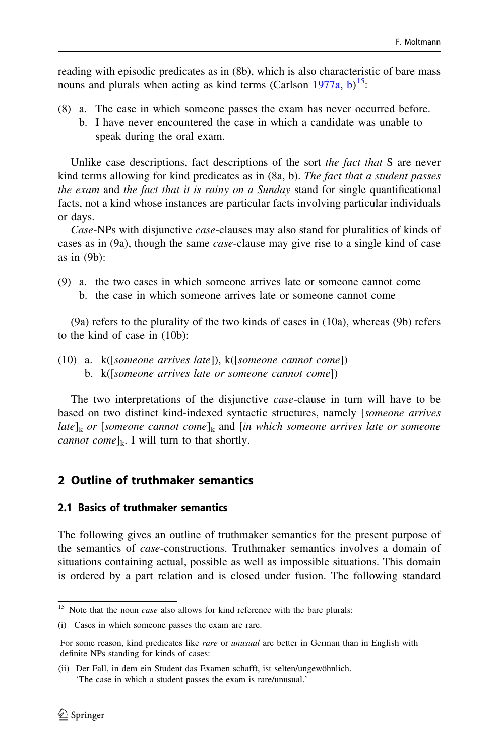reading with episodic predicates as in (8b), which is also characteristic of bare mass nouns and plurals when acting as kind terms (Carlson  $1977a$ , [b\)](#page-38-0)<sup>15</sup>:

(8) a. The case in which someone passes the exam has never occurred before. b. I have never encountered the case in which a candidate was unable to speak during the oral exam.

Unlike case descriptions, fact descriptions of the sort the fact that S are never kind terms allowing for kind predicates as in (8a, b). The fact that a student passes the exam and the fact that it is rainy on a Sunday stand for single quantificational facts, not a kind whose instances are particular facts involving particular individuals or days.

Case-NPs with disjunctive case-clauses may also stand for pluralities of kinds of cases as in (9a), though the same case-clause may give rise to a single kind of case as in (9b):

(9) a. the two cases in which someone arrives late or someone cannot come b. the case in which someone arrives late or someone cannot come

(9a) refers to the plurality of the two kinds of cases in (10a), whereas (9b) refers to the kind of case in (10b):

(10) a. k([someone arrives late]), k([someone cannot come]) b. k([someone arrives late or someone cannot come])

The two interpretations of the disjunctive case-clause in turn will have to be based on two distinct kind-indexed syntactic structures, namely [someone arrives late]<sub>k</sub> or [someone cannot come]<sub>k</sub> and [in which someone arrives late or someone *cannot come*] $_k$ . I will turn to that shortly.

# 2 Outline of truthmaker semantics

## 2.1 Basics of truthmaker semantics

The following gives an outline of truthmaker semantics for the present purpose of the semantics of case-constructions. Truthmaker semantics involves a domain of situations containing actual, possible as well as impossible situations. This domain is ordered by a part relation and is closed under fusion. The following standard

 $15$  Note that the noun *case* also allows for kind reference with the bare plurals:

<sup>(</sup>i) Cases in which someone passes the exam are rare.

For some reason, kind predicates like *rare* or *unusual* are better in German than in English with definite NPs standing for kinds of cases:

<sup>(</sup>ii) Der Fall, in dem ein Student das Examen schafft, ist selten/ungewöhnlich. 'The case in which a student passes the exam is rare/unusual.'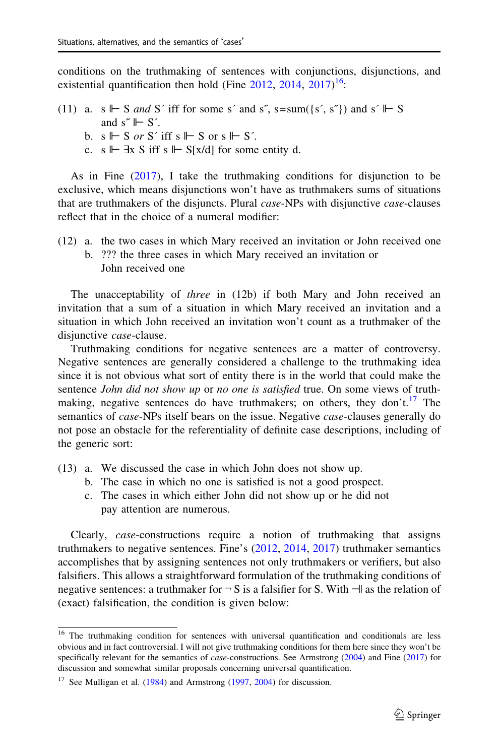conditions on the truthmaking of sentences with conjunctions, disjunctions, and existential quantification then hold (Fine  $2012$ ,  $2014$ ,  $2017$ )<sup>16</sup>:

(11) a. s  $\Vdash$  S and S' iff for some s' and s", s=sum({s', s"}) and s'  $\Vdash$  S and  $s^* \rightharpoonup S'$ . b. s  $\Vdash$  S or S' iff s  $\Vdash$  S or s  $\Vdash$  S'. c. s  $\mathbb{H}$   $\exists$ x S iff s  $\mathbb{H}$  S[x/d] for some entity d.

As in Fine [\(2017](#page-38-0)), I take the truthmaking conditions for disjunction to be exclusive, which means disjunctions won't have as truthmakers sums of situations that are truthmakers of the disjuncts. Plural *case*-NPs with disjunctive *case*-clauses reflect that in the choice of a numeral modifier:

- (12) a. the two cases in which Mary received an invitation or John received one b. ??? the three cases in which Mary received an invitation or
	- John received one

The unacceptability of three in (12b) if both Mary and John received an invitation that a sum of a situation in which Mary received an invitation and a situation in which John received an invitation won't count as a truthmaker of the disjunctive *case*-clause.

Truthmaking conditions for negative sentences are a matter of controversy. Negative sentences are generally considered a challenge to the truthmaking idea since it is not obvious what sort of entity there is in the world that could make the sentence *John did not show up* or *no one is satisfied* true. On some views of truthmaking, negative sentences do have truthmakers; on others, they don't.<sup>17</sup> The semantics of *case-NPs* itself bears on the issue. Negative *case-clauses* generally do not pose an obstacle for the referentiality of definite case descriptions, including of the generic sort:

- (13) a. We discussed the case in which John does not show up.
	- b. The case in which no one is satisfied is not a good prospect.
	- c. The cases in which either John did not show up or he did not pay attention are numerous.

Clearly, case-constructions require a notion of truthmaking that assigns truthmakers to negative sentences. Fine's ([2012,](#page-38-0) [2014](#page-38-0), [2017\)](#page-38-0) truthmaker semantics accomplishes that by assigning sentences not only truthmakers or verifiers, but also falsifiers. This allows a straightforward formulation of the truthmaking conditions of negative sentences: a truthmaker for  $\neg S$  is a falsifier for S. With  $\neg$  as the relation of (exact) falsification, the condition is given below:

<sup>&</sup>lt;sup>16</sup> The truthmaking condition for sentences with universal quantification and conditionals are less obvious and in fact controversial. I will not give truthmaking conditions for them here since they won't be specifically relevant for the semantics of *case*-constructions. See Armstrong [\(2004](#page-38-0)) and Fine ([2017\)](#page-38-0) for discussion and somewhat similar proposals concerning universal quantification.

 $17$  See Mulligan et al. ([1984](#page-39-0)) and Armstrong ([1997,](#page-38-0) [2004](#page-38-0)) for discussion.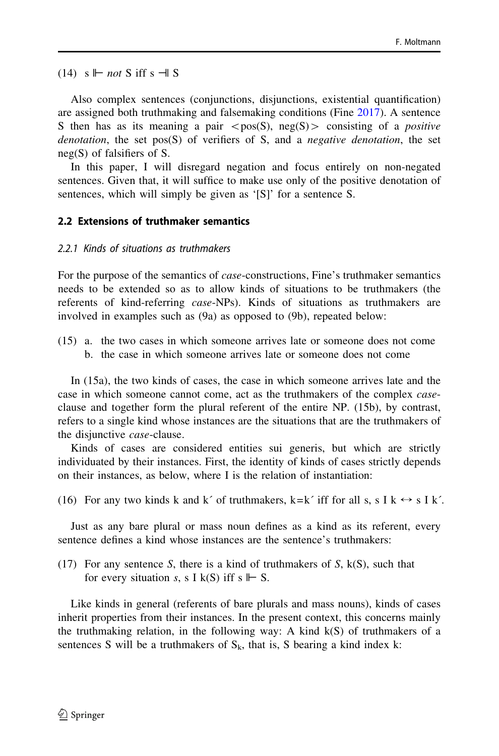(14) s ⊩ not S iff s ⊣| S

Also complex sentences (conjunctions, disjunctions, existential quantification) are assigned both truthmaking and falsemaking conditions (Fine [2017\)](#page-38-0). A sentence S then has as its meaning a pair  $\langle pos(S), neg(S) \rangle$  consisting of a *positive* denotation, the set pos $(S)$  of verifiers of S, and a negative denotation, the set neg(S) of falsifiers of S.

In this paper, I will disregard negation and focus entirely on non-negated sentences. Given that, it will suffice to make use only of the positive denotation of sentences, which will simply be given as '[S]' for a sentence S.

#### 2.2 Extensions of truthmaker semantics

#### 2.2.1 Kinds of situations as truthmakers

For the purpose of the semantics of case-constructions, Fine's truthmaker semantics needs to be extended so as to allow kinds of situations to be truthmakers (the referents of kind-referring case-NPs). Kinds of situations as truthmakers are involved in examples such as (9a) as opposed to (9b), repeated below:

(15) a. the two cases in which someone arrives late or someone does not come b. the case in which someone arrives late or someone does not come

In (15a), the two kinds of cases, the case in which someone arrives late and the case in which someone cannot come, act as the truthmakers of the complex *case*clause and together form the plural referent of the entire NP. (15b), by contrast, refers to a single kind whose instances are the situations that are the truthmakers of the disjunctive case-clause.

Kinds of cases are considered entities sui generis, but which are strictly individuated by their instances. First, the identity of kinds of cases strictly depends on their instances, as below, where I is the relation of instantiation:

(16) For any two kinds k and k´ of truthmakers, k=k´ iff for all s, s I k  $\leftrightarrow$  s I k´.

Just as any bare plural or mass noun defines as a kind as its referent, every sentence defines a kind whose instances are the sentence's truthmakers:

(17) For any sentence S, there is a kind of truthmakers of S,  $k(S)$ , such that for every situation s, s I k(S) iff s  $\mathrel{\Vdash} S$ .

Like kinds in general (referents of bare plurals and mass nouns), kinds of cases inherit properties from their instances. In the present context, this concerns mainly the truthmaking relation, in the following way: A kind  $k(S)$  of truthmakers of a sentences S will be a truthmakers of  $S_k$ , that is, S bearing a kind index k: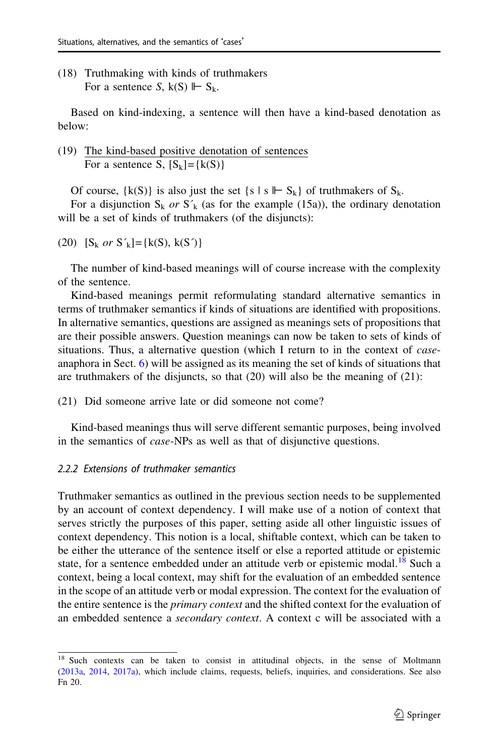(18) Truthmaking with kinds of truthmakers For a sentence S,  $k(S) \Vdash S_k$ .

Based on kind-indexing, a sentence will then have a kind-based denotation as below:

(19) The kind-based positive denotation of sentences For a sentence S,  $[S_k] = \{k(S)\}\$ 

Of course,  $\{k(S)\}\$ is also just the set  $\{s \mid s \Vdash S_k\}$  of truthmakers of  $S_k$ .

For a disjunction  $S_k$  or  $S'_k$  (as for the example (15a)), the ordinary denotation will be a set of kinds of truthmakers (of the disjuncts):

(20)  $[S_k \text{ or } S'_k] = \{k(S), k(S')\}$ 

The number of kind-based meanings will of course increase with the complexity of the sentence.

Kind-based meanings permit reformulating standard alternative semantics in terms of truthmaker semantics if kinds of situations are identified with propositions. In alternative semantics, questions are assigned as meanings sets of propositions that are their possible answers. Question meanings can now be taken to sets of kinds of situations. Thus, a alternative question (which I return to in the context of *case*anaphora in Sect. [6](#page-22-0)) will be assigned as its meaning the set of kinds of situations that are truthmakers of the disjuncts, so that (20) will also be the meaning of (21):

(21) Did someone arrive late or did someone not come?

Kind-based meanings thus will serve different semantic purposes, being involved in the semantics of case-NPs as well as that of disjunctive questions.

#### 2.2.2 Extensions of truthmaker semantics

Truthmaker semantics as outlined in the previous section needs to be supplemented by an account of context dependency. I will make use of a notion of context that serves strictly the purposes of this paper, setting aside all other linguistic issues of context dependency. This notion is a local, shiftable context, which can be taken to be either the utterance of the sentence itself or else a reported attitude or epistemic state, for a sentence embedded under an attitude verb or epistemic modal.<sup>18</sup> Such a context, being a local context, may shift for the evaluation of an embedded sentence in the scope of an attitude verb or modal expression. The context for the evaluation of the entire sentence is the *primary context* and the shifted context for the evaluation of an embedded sentence a secondary context. A context c will be associated with a

<sup>&</sup>lt;sup>18</sup> Such contexts can be taken to consist in attitudinal objects, in the sense of Moltmann ([2013a](#page-39-0), [2014](#page-39-0), [2017a](#page-39-0)), which include claims, requests, beliefs, inquiries, and considerations. See also Fn 20.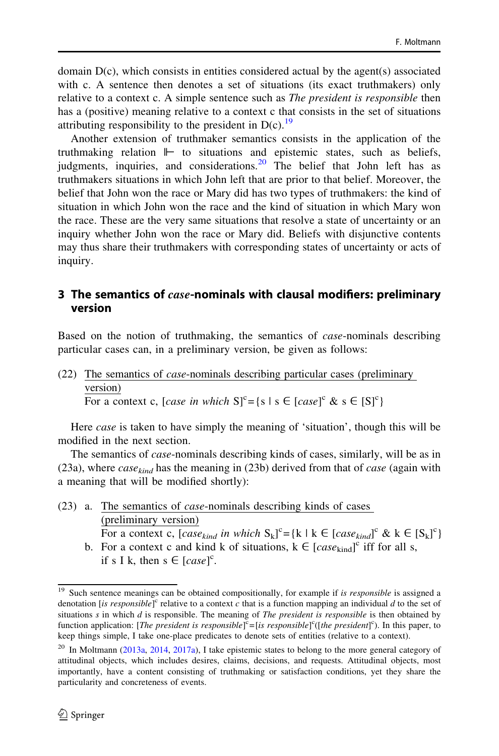domain D(c), which consists in entities considered actual by the agent(s) associated with c. A sentence then denotes a set of situations (its exact truthmakers) only relative to a context c. A simple sentence such as *The president is responsible* then has a (positive) meaning relative to a context c that consists in the set of situations attributing responsibility to the president in  $D(c)$ .<sup>19</sup>

Another extension of truthmaker semantics consists in the application of the truthmaking relation ⊩ to situations and epistemic states, such as beliefs, judgments, inquiries, and considerations.  $20$  The belief that John left has as truthmakers situations in which John left that are prior to that belief. Moreover, the belief that John won the race or Mary did has two types of truthmakers: the kind of situation in which John won the race and the kind of situation in which Mary won the race. These are the very same situations that resolve a state of uncertainty or an inquiry whether John won the race or Mary did. Beliefs with disjunctive contents may thus share their truthmakers with corresponding states of uncertainty or acts of inquiry.

## 3 The semantics of  $case$ -nominals with clausal modifiers: preliminary version

Based on the notion of truthmaking, the semantics of *case*-nominals describing particular cases can, in a preliminary version, be given as follows:

(22) The semantics of case-nominals describing particular cases (preliminary version) For a context c, [case in which  $S^c = \{s \mid s \in [case]^c \& s \in [S]^c\}$ 

Here *case* is taken to have simply the meaning of 'situation', though this will be modified in the next section.

The semantics of *case*-nominals describing kinds of cases, similarly, will be as in (23a), where  $case_{kind}$  has the meaning in (23b) derived from that of case (again with a meaning that will be modified shortly):

- (23) a. The semantics of case-nominals describing kinds of cases (preliminary version)
	- For a context c,  $[case_{kind} in which S_k]^c = {k \mid k \in [case_{kind}]^c \& k \in [S_k]^c}$ b. For a context c and kind k of situations,  $k \in [case_{kind}]^c$  iff for all s,

if s I k, then  $s \in [case]^c$ .

<sup>&</sup>lt;sup>19</sup> Such sentence meanings can be obtained compositionally, for example if is responsible is assigned a denotation [is responsible]<sup>c</sup> relative to a context  $c$  that is a function mapping an individual  $d$  to the set of situations  $s$  in which  $d$  is responsible. The meaning of *The president is responsible* is then obtained by function application: [The president is responsible]<sup>c</sup>=[is responsible]<sup>c</sup>([the president]<sup>c</sup>). In this paper, to keep things simple, I take one-place predicates to denote sets of entities (relative to a context).

<sup>&</sup>lt;sup>20</sup> In Moltmann [\(2013a,](#page-39-0) [2014](#page-39-0), [2017a](#page-39-0)), I take epistemic states to belong to the more general category of attitudinal objects, which includes desires, claims, decisions, and requests. Attitudinal objects, most importantly, have a content consisting of truthmaking or satisfaction conditions, yet they share the particularity and concreteness of events.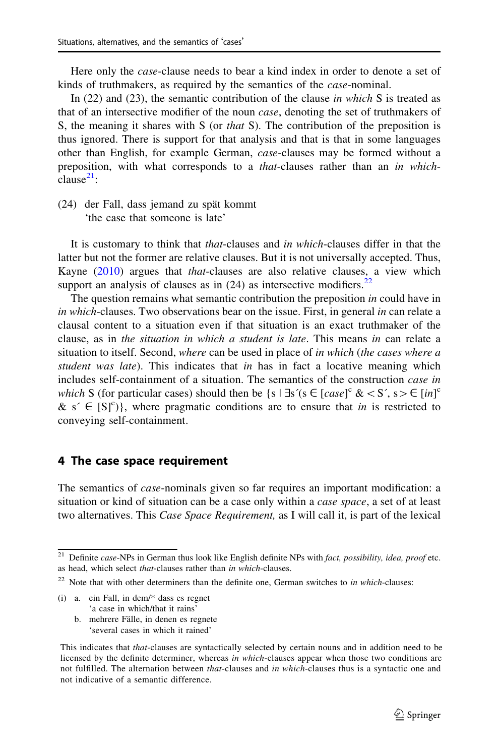Here only the *case*-clause needs to bear a kind index in order to denote a set of kinds of truthmakers, as required by the semantics of the case-nominal.

In  $(22)$  and  $(23)$ , the semantic contribution of the clause in which S is treated as that of an intersective modifier of the noun case, denoting the set of truthmakers of S, the meaning it shares with S (or that S). The contribution of the preposition is thus ignored. There is support for that analysis and that is that in some languages other than English, for example German, case-clauses may be formed without a preposition, with what corresponds to a that-clauses rather than an in which $cl$ ause $^{21}$ :

(24) der Fall, dass jemand zu spät kommt 'the case that someone is late'

It is customary to think that that-clauses and in which-clauses differ in that the latter but not the former are relative clauses. But it is not universally accepted. Thus, Kayne ([2010\)](#page-38-0) argues that *that*-clauses are also relative clauses, a view which support an analysis of clauses as in  $(24)$  as intersective modifiers.<sup>22</sup>

The question remains what semantic contribution the preposition in could have in in which-clauses. Two observations bear on the issue. First, in general in can relate a clausal content to a situation even if that situation is an exact truthmaker of the clause, as in the situation in which a student is late. This means in can relate a situation to itself. Second, where can be used in place of in which (the cases where a student was late). This indicates that in has in fact a locative meaning which includes self-containment of a situation. The semantics of the construction *case in* which S (for particular cases) should then be  $\{s \mid \exists s'(s \in [case]^c \< S', s\geq \in [in]^c\}$ & s'  $\in$  [S]<sup>c</sup>)}, where pragmatic conditions are to ensure that *in* is restricted to conveying self-containment.

#### 4 The case space requirement

The semantics of *case*-nominals given so far requires an important modification: a situation or kind of situation can be a case only within a *case space*, a set of at least two alternatives. This *Case Space Requirement*, as I will call it, is part of the lexical

- (i) a. ein Fall, in dem/\* dass es regnet 'a case in which/that it rains'
	- b. mehrere Fälle, in denen es regnete 'several cases in which it rained'

 $21$  Definite case-NPs in German thus look like English definite NPs with fact, possibility, idea, proof etc. as head, which select that-clauses rather than in which-clauses.

 $22$  Note that with other determiners than the definite one, German switches to in which-clauses:

This indicates that that-clauses are syntactically selected by certain nouns and in addition need to be licensed by the definite determiner, whereas in which-clauses appear when those two conditions are not fulfilled. The alternation between *that*-clauses and *in which*-clauses thus is a syntactic one and not indicative of a semantic difference.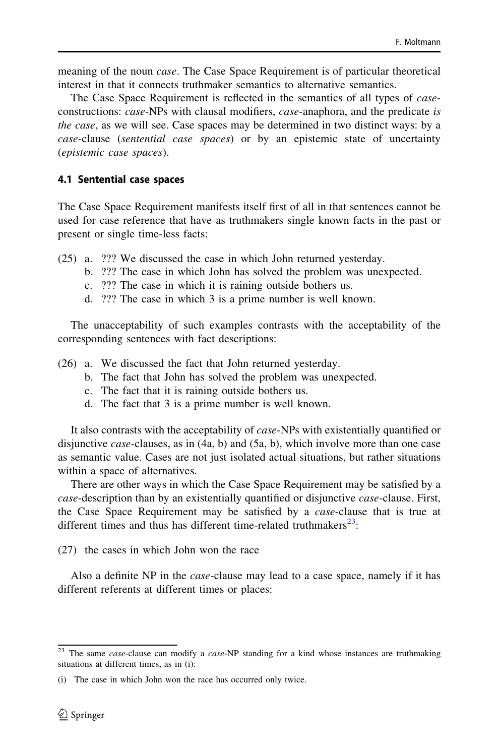meaning of the noun *case*. The Case Space Requirement is of particular theoretical interest in that it connects truthmaker semantics to alternative semantics.

The Case Space Requirement is reflected in the semantics of all types of caseconstructions: case-NPs with clausal modifiers, case-anaphora, and the predicate is the case, as we will see. Case spaces may be determined in two distinct ways: by a case-clause (sentential case spaces) or by an epistemic state of uncertainty (epistemic case spaces).

## 4.1 Sentential case spaces

The Case Space Requirement manifests itself first of all in that sentences cannot be used for case reference that have as truthmakers single known facts in the past or present or single time-less facts:

- (25) a. ??? We discussed the case in which John returned yesterday.
	- b. ??? The case in which John has solved the problem was unexpected.
	- c. ??? The case in which it is raining outside bothers us.
	- d. ??? The case in which 3 is a prime number is well known.

The unacceptability of such examples contrasts with the acceptability of the corresponding sentences with fact descriptions:

- (26) a. We discussed the fact that John returned yesterday.
	- b. The fact that John has solved the problem was unexpected.
	- c. The fact that it is raining outside bothers us.
	- d. The fact that 3 is a prime number is well known.

It also contrasts with the acceptability of *case*-NPs with existentially quantified or disjunctive *case*-clauses, as in  $(4a, b)$  and  $(5a, b)$ , which involve more than one case as semantic value. Cases are not just isolated actual situations, but rather situations within a space of alternatives.

There are other ways in which the Case Space Requirement may be satisfied by a case-description than by an existentially quantified or disjunctive case-clause. First, the Case Space Requirement may be satisfied by a case-clause that is true at different times and thus has different time-related truthmakers $^{23}$ :

(27) the cases in which John won the race

Also a definite NP in the *case*-clause may lead to a case space, namely if it has different referents at different times or places:

<sup>&</sup>lt;sup>23</sup> The same *case*-clause can modify a *case*-NP standing for a kind whose instances are truthmaking situations at different times, as in (i):

<sup>(</sup>i) The case in which John won the race has occurred only twice.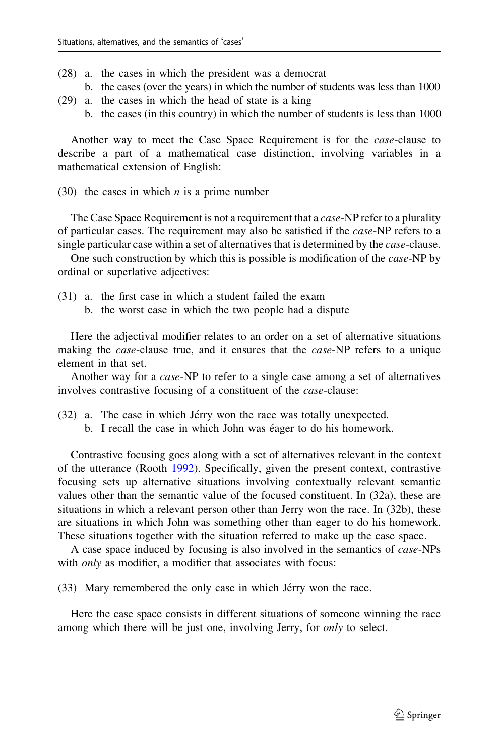- (28) a. the cases in which the president was a democrat
	- b. the cases (over the years) in which the number of students was less than 1000
- (29) a. the cases in which the head of state is a king
	- b. the cases (in this country) in which the number of students is less than 1000

Another way to meet the Case Space Requirement is for the case-clause to describe a part of a mathematical case distinction, involving variables in a mathematical extension of English:

(30) the cases in which *n* is a prime number

The Case Space Requirement is not a requirement that a *case*-NP refer to a plurality of particular cases. The requirement may also be satisfied if the case-NP refers to a single particular case within a set of alternatives that is determined by the *case*-clause.

One such construction by which this is possible is modification of the *case*-NP by ordinal or superlative adjectives:

- (31) a. the first case in which a student failed the exam
	- b. the worst case in which the two people had a dispute

Here the adjectival modifier relates to an order on a set of alternative situations making the *case*-clause true, and it ensures that the *case*-NP refers to a unique element in that set.

Another way for a case-NP to refer to a single case among a set of alternatives involves contrastive focusing of a constituent of the case-clause:

- $(32)$  a. The case in which Jérry won the race was totally unexpected.
	- b. I recall the case in which John was éager to do his homework.

Contrastive focusing goes along with a set of alternatives relevant in the context of the utterance (Rooth [1992\)](#page-39-0). Specifically, given the present context, contrastive focusing sets up alternative situations involving contextually relevant semantic values other than the semantic value of the focused constituent. In (32a), these are situations in which a relevant person other than Jerry won the race. In (32b), these are situations in which John was something other than eager to do his homework. These situations together with the situation referred to make up the case space.

A case space induced by focusing is also involved in the semantics of case-NPs with *only* as modifier, a modifier that associates with focus:

(33) Mary remembered the only case in which Jérry won the race.

Here the case space consists in different situations of someone winning the race among which there will be just one, involving Jerry, for *only* to select.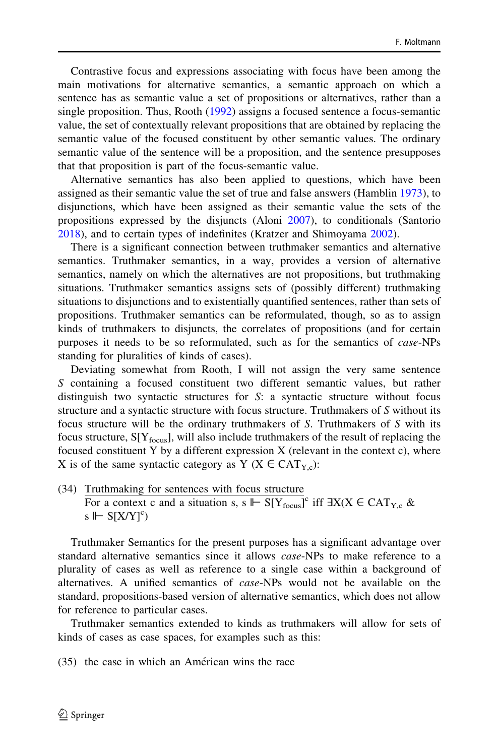Contrastive focus and expressions associating with focus have been among the main motivations for alternative semantics, a semantic approach on which a sentence has as semantic value a set of propositions or alternatives, rather than a single proposition. Thus, Rooth [\(1992](#page-39-0)) assigns a focused sentence a focus-semantic value, the set of contextually relevant propositions that are obtained by replacing the semantic value of the focused constituent by other semantic values. The ordinary semantic value of the sentence will be a proposition, and the sentence presupposes that that proposition is part of the focus-semantic value.

Alternative semantics has also been applied to questions, which have been assigned as their semantic value the set of true and false answers (Hamblin [1973](#page-38-0)), to disjunctions, which have been assigned as their semantic value the sets of the propositions expressed by the disjuncts (Aloni [2007\)](#page-38-0), to conditionals (Santorio [2018\)](#page-39-0), and to certain types of indefinites (Kratzer and Shimoyama [2002](#page-39-0)).

There is a significant connection between truthmaker semantics and alternative semantics. Truthmaker semantics, in a way, provides a version of alternative semantics, namely on which the alternatives are not propositions, but truthmaking situations. Truthmaker semantics assigns sets of (possibly different) truthmaking situations to disjunctions and to existentially quantified sentences, rather than sets of propositions. Truthmaker semantics can be reformulated, though, so as to assign kinds of truthmakers to disjuncts, the correlates of propositions (and for certain purposes it needs to be so reformulated, such as for the semantics of case-NPs standing for pluralities of kinds of cases).

Deviating somewhat from Rooth, I will not assign the very same sentence S containing a focused constituent two different semantic values, but rather distinguish two syntactic structures for S: a syntactic structure without focus structure and a syntactic structure with focus structure. Truthmakers of S without its focus structure will be the ordinary truthmakers of S. Truthmakers of S with its focus structure,  $S[Y_{focus}]$ , will also include truthmakers of the result of replacing the focused constituent Y by a different expression  $X$  (relevant in the context c), where X is of the same syntactic category as Y ( $X \in CAT_{Yc}$ ):

(34) Truthmaking for sentences with focus structure For a context c and a situation s, s  $\mathbb{I} \vdash S[Y_{\text{focus}}]^c$  iff  $\exists X(X \in \text{CAT}_{Y,c} \&$ s  $\Vdash$  S[X/Y]<sup>c</sup>)

Truthmaker Semantics for the present purposes has a significant advantage over standard alternative semantics since it allows case-NPs to make reference to a plurality of cases as well as reference to a single case within a background of alternatives. A unified semantics of case-NPs would not be available on the standard, propositions-based version of alternative semantics, which does not allow for reference to particular cases.

Truthmaker semantics extended to kinds as truthmakers will allow for sets of kinds of cases as case spaces, for examples such as this:

 $(35)$  the case in which an Américan wins the race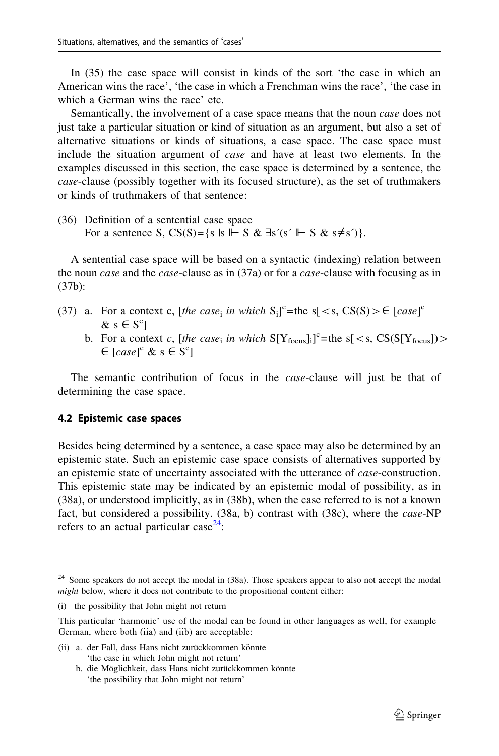<span id="page-16-0"></span>In (35) the case space will consist in kinds of the sort 'the case in which an American wins the race', 'the case in which a Frenchman wins the race', 'the case in which a German wins the race' etc.

Semantically, the involvement of a case space means that the noun *case* does not just take a particular situation or kind of situation as an argument, but also a set of alternative situations or kinds of situations, a case space. The case space must include the situation argument of case and have at least two elements. In the examples discussed in this section, the case space is determined by a sentence, the case-clause (possibly together with its focused structure), as the set of truthmakers or kinds of truthmakers of that sentence:

(36) Definition of a sentential case space For a sentence S,  $CS(S) = \{s | s \vdash S \& \exists s'(s' \vdash S \& s \neq s')\}.$ 

A sentential case space will be based on a syntactic (indexing) relation between the noun *case* and the *case*-clause as in (37a) or for a *case*-clause with focusing as in (37b):

- (37) a. For a context c, [the case<sub>i</sub> in which  $S_i^c$ ]<sup>c</sup>=the s[ < s, CS(S) >  $\in$  [case]<sup>c</sup>  $\& s \in S^c$ 
	- b. For a context c, [the case<sub>i</sub> in which  $S[Y_{focusing}^{\text{c}}] =$ the s[ < s,  $CS(S[Y_{focus}])$  >  $\in$  [case]<sup>c</sup> & s  $\in$  S<sup>c</sup>]

The semantic contribution of focus in the *case*-clause will just be that of determining the case space.

#### 4.2 Epistemic case spaces

Besides being determined by a sentence, a case space may also be determined by an epistemic state. Such an epistemic case space consists of alternatives supported by an epistemic state of uncertainty associated with the utterance of case-construction. This epistemic state may be indicated by an epistemic modal of possibility, as in (38a), or understood implicitly, as in (38b), when the case referred to is not a known fact, but considered a possibility. (38a, b) contrast with (38c), where the *case*-NP refers to an actual particular case<sup>24</sup>:

(ii) a. der Fall, dass Hans nicht zurückkommen könnte 'the case in which John might not return'

<sup>&</sup>lt;sup>24</sup> Some speakers do not accept the modal in (38a). Those speakers appear to also not accept the modal might below, where it does not contribute to the propositional content either:

<sup>(</sup>i) the possibility that John might not return

This particular 'harmonic' use of the modal can be found in other languages as well, for example German, where both (iia) and (iib) are acceptable:

b. die Möglichkeit, dass Hans nicht zurückkommen könnte 'the possibility that John might not return'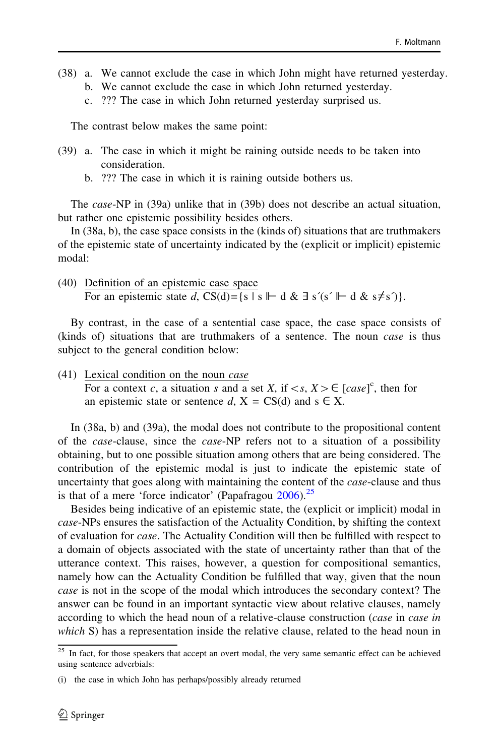- (38) a. We cannot exclude the case in which John might have returned yesterday. b. We cannot exclude the case in which John returned yesterday.
	- c. ??? The case in which John returned yesterday surprised us.

The contrast below makes the same point:

- (39) a. The case in which it might be raining outside needs to be taken into consideration.
	- b. ??? The case in which it is raining outside bothers us.

The case-NP in (39a) unlike that in (39b) does not describe an actual situation, but rather one epistemic possibility besides others.

In (38a, b), the case space consists in the (kinds of) situations that are truthmakers of the epistemic state of uncertainty indicated by the (explicit or implicit) epistemic modal:

(40) Definition of an epistemic case space For an epistemic state d,  $CS(d) = \{s \mid s \mid \vdash d \& \exists s'(s' \mid \vdash d \& s \neq s')\}.$ 

By contrast, in the case of a sentential case space, the case space consists of (kinds of) situations that are truthmakers of a sentence. The noun case is thus subject to the general condition below:

(41) Lexical condition on the noun case For a context c, a situation s and a set X, if  $\langle s, X \rangle \in [case]^c$ , then for an epistemic state or sentence d,  $X = CS(d)$  and  $s \in X$ .

In (38a, b) and (39a), the modal does not contribute to the propositional content of the case-clause, since the case-NP refers not to a situation of a possibility obtaining, but to one possible situation among others that are being considered. The contribution of the epistemic modal is just to indicate the epistemic state of uncertainty that goes along with maintaining the content of the *case*-clause and thus is that of a mere 'force indicator' (Papafragou  $2006$ ).<sup>25</sup>

Besides being indicative of an epistemic state, the (explicit or implicit) modal in case-NPs ensures the satisfaction of the Actuality Condition, by shifting the context of evaluation for case. The Actuality Condition will then be fulfilled with respect to a domain of objects associated with the state of uncertainty rather than that of the utterance context. This raises, however, a question for compositional semantics, namely how can the Actuality Condition be fulfilled that way, given that the noun case is not in the scope of the modal which introduces the secondary context? The answer can be found in an important syntactic view about relative clauses, namely according to which the head noun of a relative-clause construction (*case* in *case in* which S) has a representation inside the relative clause, related to the head noun in

<sup>&</sup>lt;sup>25</sup> In fact, for those speakers that accept an overt modal, the very same semantic effect can be achieved using sentence adverbials:

<sup>(</sup>i) the case in which John has perhaps/possibly already returned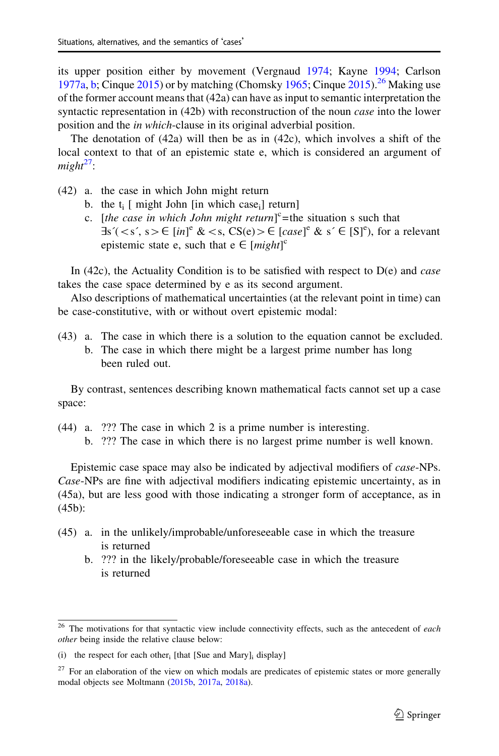its upper position either by movement (Vergnaud [1974;](#page-39-0) Kayne [1994](#page-38-0); Carlson [1977a](#page-38-0), [b;](#page-38-0) Cinque  $2015$ ) or by matching (Chomsky [1965](#page-38-0); Cinque  $2015$ ).<sup>26</sup> Making use of the former account means that (42a) can have as input to semantic interpretation the syntactic representation in (42b) with reconstruction of the noun *case* into the lower position and the in which-clause in its original adverbial position.

The denotation of  $(42a)$  will then be as in  $(42c)$ , which involves a shift of the local context to that of an epistemic state e, which is considered an argument of  $mieht<sup>27</sup>$ :

- (42) a. the case in which John might return
	- b. the  $t_i$  [ might John [in which case<sub>i</sub>] return]
	- c. [the case in which John might return]<sup>c</sup>=the situation s such that  $\exists s'(< s', s> \in [in]^e \< s, CS(e) > \in [case]^e \& s' \in [S]^e)$ , for a relevant epistemic state e, such that  $e \in [might]^c$

In (42c), the Actuality Condition is to be satisfied with respect to  $D(e)$  and *case* takes the case space determined by e as its second argument.

Also descriptions of mathematical uncertainties (at the relevant point in time) can be case-constitutive, with or without overt epistemic modal:

(43) a. The case in which there is a solution to the equation cannot be excluded. b. The case in which there might be a largest prime number has long been ruled out.

By contrast, sentences describing known mathematical facts cannot set up a case space:

- (44) a. ??? The case in which 2 is a prime number is interesting.
	- b. ??? The case in which there is no largest prime number is well known.

Epistemic case space may also be indicated by adjectival modifiers of case-NPs. Case-NPs are fine with adjectival modifiers indicating epistemic uncertainty, as in (45a), but are less good with those indicating a stronger form of acceptance, as in (45b):

- (45) a. in the unlikely/improbable/unforeseeable case in which the treasure is returned
	- b. ??? in the likely/probable/foreseeable case in which the treasure is returned

<sup>&</sup>lt;sup>26</sup> The motivations for that syntactic view include connectivity effects, such as the antecedent of each other being inside the relative clause below:

 $(i)$  the respect for each other; [that [Sue and Mary]; display]

<sup>&</sup>lt;sup>27</sup> For an elaboration of the view on which modals are predicates of epistemic states or more generally modal objects see Moltmann [\(2015b](#page-39-0), [2017a](#page-39-0), [2018a](#page-39-0)).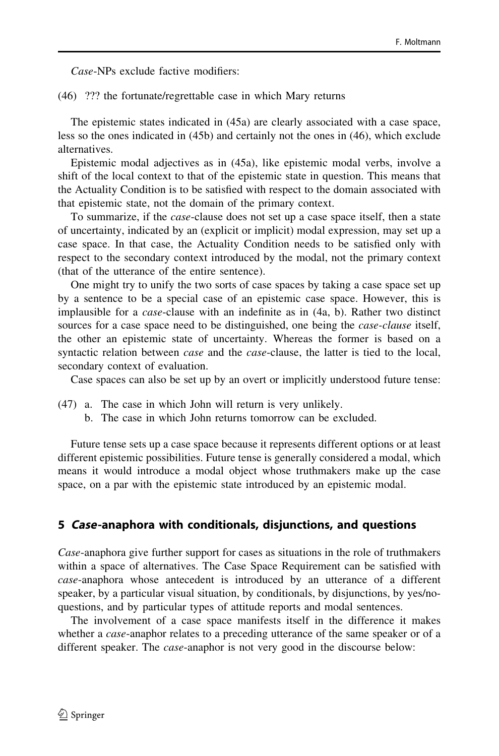Case-NPs exclude factive modifiers:

(46) ??? the fortunate/regrettable case in which Mary returns

The epistemic states indicated in (45a) are clearly associated with a case space, less so the ones indicated in (45b) and certainly not the ones in (46), which exclude alternatives.

Epistemic modal adjectives as in (45a), like epistemic modal verbs, involve a shift of the local context to that of the epistemic state in question. This means that the Actuality Condition is to be satisfied with respect to the domain associated with that epistemic state, not the domain of the primary context.

To summarize, if the case-clause does not set up a case space itself, then a state of uncertainty, indicated by an (explicit or implicit) modal expression, may set up a case space. In that case, the Actuality Condition needs to be satisfied only with respect to the secondary context introduced by the modal, not the primary context (that of the utterance of the entire sentence).

One might try to unify the two sorts of case spaces by taking a case space set up by a sentence to be a special case of an epistemic case space. However, this is implausible for a case-clause with an indefinite as in (4a, b). Rather two distinct sources for a case space need to be distinguished, one being the *case-clause* itself, the other an epistemic state of uncertainty. Whereas the former is based on a syntactic relation between *case* and the *case*-clause, the latter is tied to the local, secondary context of evaluation.

Case spaces can also be set up by an overt or implicitly understood future tense:

- (47) a. The case in which John will return is very unlikely.
	- b. The case in which John returns tomorrow can be excluded.

Future tense sets up a case space because it represents different options or at least different epistemic possibilities. Future tense is generally considered a modal, which means it would introduce a modal object whose truthmakers make up the case space, on a par with the epistemic state introduced by an epistemic modal.

#### 5 Case-anaphora with conditionals, disjunctions, and questions

Case-anaphora give further support for cases as situations in the role of truthmakers within a space of alternatives. The Case Space Requirement can be satisfied with case-anaphora whose antecedent is introduced by an utterance of a different speaker, by a particular visual situation, by conditionals, by disjunctions, by yes/noquestions, and by particular types of attitude reports and modal sentences.

The involvement of a case space manifests itself in the difference it makes whether a *case*-anaphor relates to a preceding utterance of the same speaker or of a different speaker. The *case*-anaphor is not very good in the discourse below: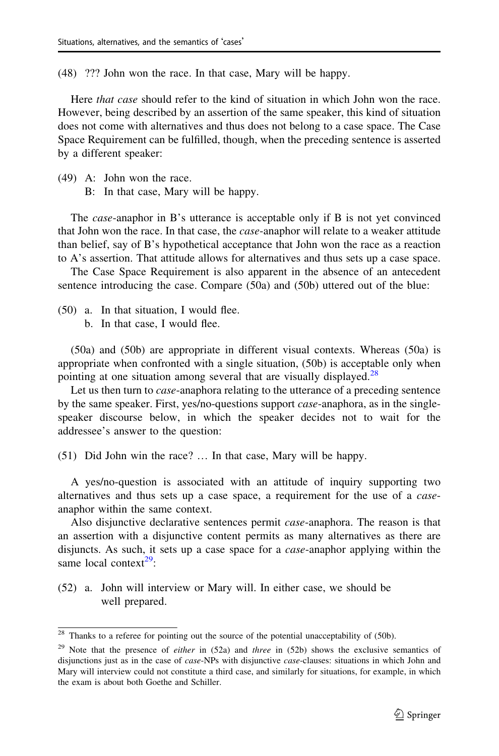(48) ??? John won the race. In that case, Mary will be happy.

Here *that case* should refer to the kind of situation in which John won the race. However, being described by an assertion of the same speaker, this kind of situation does not come with alternatives and thus does not belong to a case space. The Case Space Requirement can be fulfilled, though, when the preceding sentence is asserted by a different speaker:

- (49) A: John won the race.
	- B: In that case, Mary will be happy.

The *case*-anaphor in B's utterance is acceptable only if B is not yet convinced that John won the race. In that case, the *case*-anaphor will relate to a weaker attitude than belief, say of B's hypothetical acceptance that John won the race as a reaction to A's assertion. That attitude allows for alternatives and thus sets up a case space.

The Case Space Requirement is also apparent in the absence of an antecedent sentence introducing the case. Compare (50a) and (50b) uttered out of the blue:

- (50) a. In that situation, I would flee.
	- b. In that case, I would flee.

(50a) and (50b) are appropriate in different visual contexts. Whereas (50a) is appropriate when confronted with a single situation, (50b) is acceptable only when pointing at one situation among several that are visually displayed.<sup>28</sup>

Let us then turn to *case*-anaphora relating to the utterance of a preceding sentence by the same speaker. First, yes/no-questions support *case*-anaphora, as in the singlespeaker discourse below, in which the speaker decides not to wait for the addressee's answer to the question:

(51) Did John win the race? … In that case, Mary will be happy.

A yes/no-question is associated with an attitude of inquiry supporting two alternatives and thus sets up a case space, a requirement for the use of a caseanaphor within the same context.

Also disjunctive declarative sentences permit case-anaphora. The reason is that an assertion with a disjunctive content permits as many alternatives as there are disjuncts. As such, it sets up a case space for a case-anaphor applying within the same local context $^{29}$ :

(52) a. John will interview or Mary will. In either case, we should be well prepared.

 $28$  Thanks to a referee for pointing out the source of the potential unacceptability of (50b).

<sup>&</sup>lt;sup>29</sup> Note that the presence of *either* in  $(52a)$  and *three* in  $(52b)$  shows the exclusive semantics of disjunctions just as in the case of *case-NPs* with disjunctive *case-clauses*: situations in which John and Mary will interview could not constitute a third case, and similarly for situations, for example, in which the exam is about both Goethe and Schiller.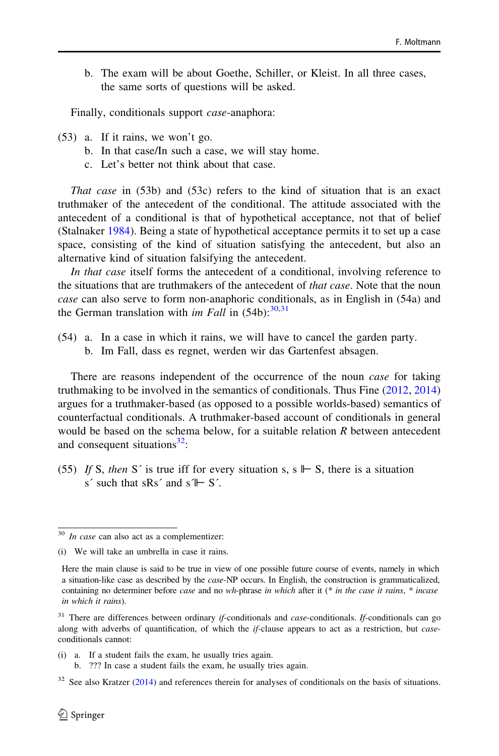b. The exam will be about Goethe, Schiller, or Kleist. In all three cases, the same sorts of questions will be asked.

Finally, conditionals support *case*-anaphora:

- (53) a. If it rains, we won't go.
	- b. In that case/In such a case, we will stay home.
	- c. Let's better not think about that case.

That case in (53b) and (53c) refers to the kind of situation that is an exact truthmaker of the antecedent of the conditional. The attitude associated with the antecedent of a conditional is that of hypothetical acceptance, not that of belief (Stalnaker [1984\)](#page-39-0). Being a state of hypothetical acceptance permits it to set up a case space, consisting of the kind of situation satisfying the antecedent, but also an alternative kind of situation falsifying the antecedent.

In that case itself forms the antecedent of a conditional, involving reference to the situations that are truthmakers of the antecedent of *that case*. Note that the noun case can also serve to form non-anaphoric conditionals, as in English in (54a) and the German translation with *im Fall* in  $(54b)$ :  $30,31$ 

(54) a. In a case in which it rains, we will have to cancel the garden party. b. Im Fall, dass es regnet, werden wir das Gartenfest absagen.

There are reasons independent of the occurrence of the noun *case* for taking truthmaking to be involved in the semantics of conditionals. Thus Fine [\(2012](#page-38-0), [2014](#page-38-0)) argues for a truthmaker-based (as opposed to a possible worlds-based) semantics of counterfactual conditionals. A truthmaker-based account of conditionals in general would be based on the schema below, for a suitable relation R between antecedent and consequent situations $^{32}$ :

(55) If S, then S' is true iff for every situation s, s  $\mathbb{I}$  S, there is a situation s' such that sRs' and s $\mathbb{I} \vdash S'$ .

- (i) a. If a student fails the exam, he usually tries again.
	- b. ??? In case a student fails the exam, he usually tries again.

 $30$  In case can also act as a complementizer:

<sup>(</sup>i) We will take an umbrella in case it rains.

Here the main clause is said to be true in view of one possible future course of events, namely in which a situation-like case as described by the case-NP occurs. In English, the construction is grammaticalized, containing no determiner before *case* and no wh-phrase in which after it (\* in the case it rains, \* incase in which it rains).

 $31$  There are differences between ordinary *if*-conditionals and *case*-conditionals. If-conditionals can go along with adverbs of quantification, of which the  $if$ -clause appears to act as a restriction, but *case*conditionals cannot:

 $32$  See also Kratzer [\(2014](#page-39-0)) and references therein for analyses of conditionals on the basis of situations.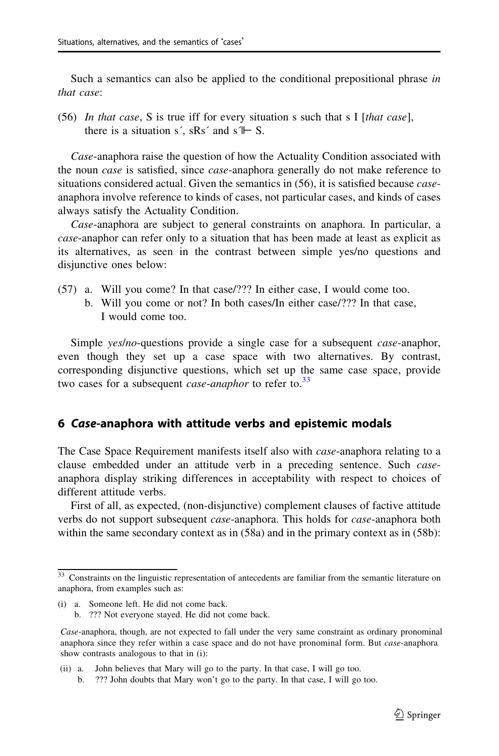<span id="page-22-0"></span>Such a semantics can also be applied to the conditional prepositional phrase in that case:

(56) In that case, S is true iff for every situation s such that s I [that case], there is a situation s', sRs' and s $\mathbb{I} \vdash S$ .

Case-anaphora raise the question of how the Actuality Condition associated with the noun case is satisfied, since case-anaphora generally do not make reference to situations considered actual. Given the semantics in  $(56)$ , it is satisfied because *case*anaphora involve reference to kinds of cases, not particular cases, and kinds of cases always satisfy the Actuality Condition.

Case-anaphora are subject to general constraints on anaphora. In particular, a case-anaphor can refer only to a situation that has been made at least as explicit as its alternatives, as seen in the contrast between simple yes/no questions and disjunctive ones below:

- (57) a. Will you come? In that case/??? In either case, I would come too.
	- b. Will you come or not? In both cases/In either case/??? In that case, I would come too.

Simple *yes/no-*questions provide a single case for a subsequent *case-anaphor*, even though they set up a case space with two alternatives. By contrast, corresponding disjunctive questions, which set up the same case space, provide two cases for a subsequent *case-anaphor* to refer to.<sup>33</sup>

## 6 Case-anaphora with attitude verbs and epistemic modals

The Case Space Requirement manifests itself also with *case*-anaphora relating to a clause embedded under an attitude verb in a preceding sentence. Such caseanaphora display striking differences in acceptability with respect to choices of different attitude verbs.

First of all, as expected, (non-disjunctive) complement clauses of factive attitude verbs do not support subsequent *case*-anaphora. This holds for *case*-anaphora both within the same secondary context as in (58a) and in the primary context as in (58b):

<sup>&</sup>lt;sup>33</sup> Constraints on the linguistic representation of antecedents are familiar from the semantic literature on anaphora, from examples such as:

<sup>(</sup>i) a. Someone left. He did not come back.

b. ??? Not everyone stayed. He did not come back.

Case-anaphora, though, are not expected to fall under the very same constraint as ordinary pronominal anaphora since they refer within a case space and do not have pronominal form. But case-anaphora show contrasts analogous to that in (i):

<sup>(</sup>ii) a. John believes that Mary will go to the party. In that case, I will go too.

b. ??? John doubts that Mary won't go to the party. In that case, I will go too.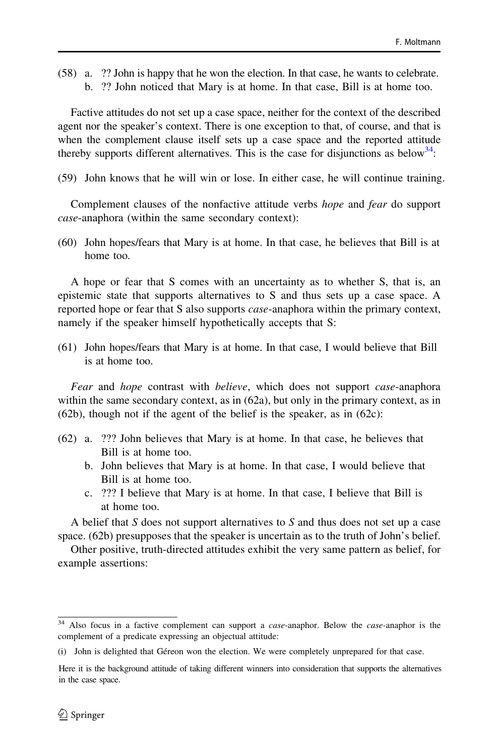(58) a. ?? John is happy that he won the election. In that case, he wants to celebrate. b. ?? John noticed that Mary is at home. In that case, Bill is at home too.

Factive attitudes do not set up a case space, neither for the context of the described agent nor the speaker's context. There is one exception to that, of course, and that is when the complement clause itself sets up a case space and the reported attitude thereby supports different alternatives. This is the case for disjunctions as below  $34$ .

(59) John knows that he will win or lose. In either case, he will continue training.

Complement clauses of the nonfactive attitude verbs *hope* and *fear* do support case-anaphora (within the same secondary context):

(60) John hopes/fears that Mary is at home. In that case, he believes that Bill is at home too.

A hope or fear that S comes with an uncertainty as to whether S, that is, an epistemic state that supports alternatives to S and thus sets up a case space. A reported hope or fear that S also supports case-anaphora within the primary context, namely if the speaker himself hypothetically accepts that S:

(61) John hopes/fears that Mary is at home. In that case, I would believe that Bill is at home too.

Fear and hope contrast with believe, which does not support case-anaphora within the same secondary context, as in  $(62a)$ , but only in the primary context, as in (62b), though not if the agent of the belief is the speaker, as in (62c):

- (62) a. ??? John believes that Mary is at home. In that case, he believes that Bill is at home too.
	- b. John believes that Mary is at home. In that case, I would believe that Bill is at home too.
	- c. ??? I believe that Mary is at home. In that case, I believe that Bill is at home too.

A belief that  $S$  does not support alternatives to  $S$  and thus does not set up a case space. (62b) presupposes that the speaker is uncertain as to the truth of John's belief.

Other positive, truth-directed attitudes exhibit the very same pattern as belief, for example assertions:

<sup>&</sup>lt;sup>34</sup> Also focus in a factive complement can support a *case*-anaphor. Below the *case*-anaphor is the complement of a predicate expressing an objectual attitude:

<sup>(</sup>i) John is delighted that Ge´reon won the election. We were completely unprepared for that case.

Here it is the background attitude of taking different winners into consideration that supports the alternatives in the case space.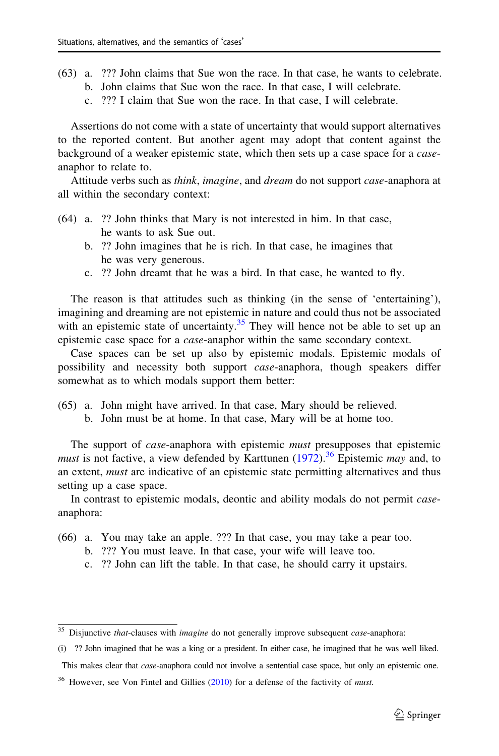- (63) a. ??? John claims that Sue won the race. In that case, he wants to celebrate. b. John claims that Sue won the race. In that case, I will celebrate.
	- c. ??? I claim that Sue won the race. In that case, I will celebrate.

Assertions do not come with a state of uncertainty that would support alternatives to the reported content. But another agent may adopt that content against the background of a weaker epistemic state, which then sets up a case space for a caseanaphor to relate to.

Attitude verbs such as *think, imagine,* and *dream* do not support *case*-anaphora at all within the secondary context:

- (64) a. ?? John thinks that Mary is not interested in him. In that case, he wants to ask Sue out.
	- b. ?? John imagines that he is rich. In that case, he imagines that he was very generous.
	- c. ?? John dreamt that he was a bird. In that case, he wanted to fly.

The reason is that attitudes such as thinking (in the sense of 'entertaining'), imagining and dreaming are not epistemic in nature and could thus not be associated with an epistemic state of uncertainty.<sup>35</sup> They will hence not be able to set up an epistemic case space for a case-anaphor within the same secondary context.

Case spaces can be set up also by epistemic modals. Epistemic modals of possibility and necessity both support case-anaphora, though speakers differ somewhat as to which modals support them better:

- (65) a. John might have arrived. In that case, Mary should be relieved.
	- b. John must be at home. In that case, Mary will be at home too.

The support of *case*-anaphora with epistemic *must* presupposes that epistemic must is not factive, a view defended by Karttunen [\(1972](#page-38-0)).<sup>36</sup> Epistemic may and, to an extent, must are indicative of an epistemic state permitting alternatives and thus setting up a case space.

In contrast to epistemic modals, deontic and ability modals do not permit caseanaphora:

- (66) a. You may take an apple. ??? In that case, you may take a pear too.
	- b. ??? You must leave. In that case, your wife will leave too.
	- c. ?? John can lift the table. In that case, he should carry it upstairs.

This makes clear that *case*-anaphora could not involve a sentential case space, but only an epistemic one.

 $35$  Disjunctive that-clauses with *imagine* do not generally improve subsequent *case*-anaphora:

<sup>(</sup>i) ?? John imagined that he was a king or a president. In either case, he imagined that he was well liked.

 $36$  However, see Von Fintel and Gillies ([2010\)](#page-39-0) for a defense of the factivity of *must*.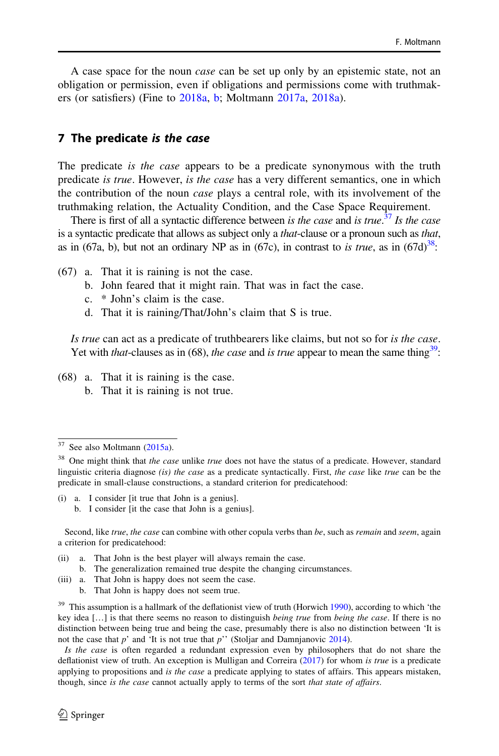A case space for the noun case can be set up only by an epistemic state, not an obligation or permission, even if obligations and permissions come with truthmakers (or satisfiers) (Fine to [2018a](#page-38-0), [b](#page-38-0); Moltmann [2017a,](#page-39-0) [2018a](#page-39-0)).

#### 7 The predicate is the case

The predicate *is the case* appears to be a predicate synonymous with the truth predicate is true. However, is the case has a very different semantics, one in which the contribution of the noun case plays a central role, with its involvement of the truthmaking relation, the Actuality Condition, and the Case Space Requirement.

There is first of all a syntactic difference between is the case and is true.<sup>37</sup> Is the case is a syntactic predicate that allows as subject only a *that*-clause or a pronoun such as *that*, as in (67a, b), but not an ordinary NP as in (67c), in contrast to is true, as in  $(67d)^{38}$ :

- (67) a. That it is raining is not the case.
	- b. John feared that it might rain. That was in fact the case.
	- c. \* John's claim is the case.
	- d. That it is raining/That/John's claim that S is true.

Is true can act as a predicate of truthbearers like claims, but not so for is the case. Yet with that-clauses as in (68), the case and is true appear to mean the same thing<sup>39</sup>:

(68) a. That it is raining is the case. b. That it is raining is not true.

- (i) a. I consider [it true that John is a genius].
	- b. I consider [it the case that John is a genius].

Second, like true, the case can combine with other copula verbs than be, such as remain and seem, again a criterion for predicatehood:

- (ii) a. That John is the best player will always remain the case.
- b. The generalization remained true despite the changing circumstances.
- (iii) a. That John is happy does not seem the case.
	- b. That John is happy does not seem true.

 $37$  See also Moltmann  $(2015a)$ .

 $38$  One might think that the case unlike true does not have the status of a predicate. However, standard linguistic criteria diagnose (is) the case as a predicate syntactically. First, the case like true can be the predicate in small-clause constructions, a standard criterion for predicatehood:

 $39$  This assumption is a hallmark of the deflationist view of truth (Horwich [1990\)](#page-38-0), according to which 'the key idea  $[...]$  is that there seems no reason to distinguish *being true* from *being the case*. If there is no distinction between being true and being the case, presumably there is also no distinction between 'It is not the case that  $p'$  and 'It is not true that  $p''$  (Stoljar and Damnjanovic [2014\)](#page-39-0).

Is the case is often regarded a redundant expression even by philosophers that do not share the deflationist view of truth. An exception is Mulligan and Correira ([2017\)](#page-38-0) for whom is true is a predicate applying to propositions and is the case a predicate applying to states of affairs. This appears mistaken, though, since is the case cannot actually apply to terms of the sort that state of affairs.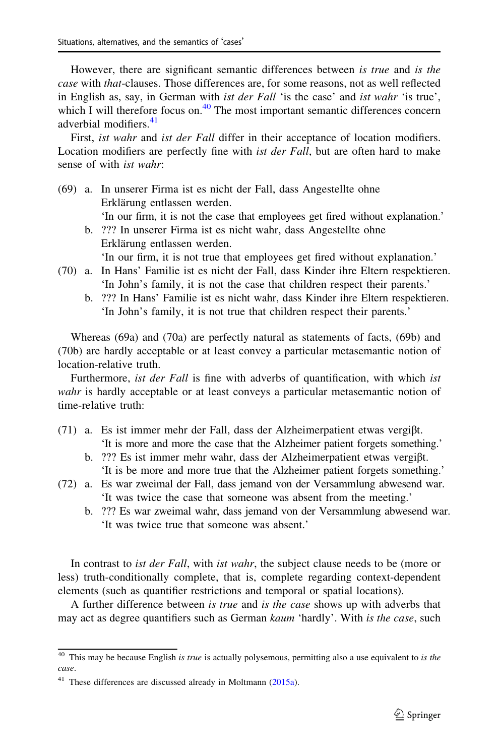However, there are significant semantic differences between is true and is the case with that-clauses. Those differences are, for some reasons, not as well reflected in English as, say, in German with ist der Fall 'is the case' and ist wahr 'is true', which I will therefore focus on. $40$  The most important semantic differences concern adverbial modifiers<sup>41</sup>

First, ist wahr and ist der Fall differ in their acceptance of location modifiers. Location modifiers are perfectly fine with *ist der Fall*, but are often hard to make sense of with ist wahr:

(69) a. In unserer Firma ist es nicht der Fall, dass Angestellte ohne Erklärung entlassen werden. 'In our firm, it is not the case that employees get fired without explanation.' b. ??? In unserer Firma ist es nicht wahr, dass Angestellte ohne Erklärung entlassen werden.

'In our firm, it is not true that employees get fired without explanation.'

- (70) a. In Hans' Familie ist es nicht der Fall, dass Kinder ihre Eltern respektieren. 'In John's family, it is not the case that children respect their parents.'
	- b. ??? In Hans' Familie ist es nicht wahr, dass Kinder ihre Eltern respektieren. 'In John's family, it is not true that children respect their parents.'

Whereas (69a) and (70a) are perfectly natural as statements of facts, (69b) and (70b) are hardly acceptable or at least convey a particular metasemantic notion of location-relative truth.

Furthermore, *ist der Fall* is fine with adverbs of quantification, with which *ist* wahr is hardly acceptable or at least conveys a particular metasemantic notion of time-relative truth:

- (71) a. Es ist immer mehr der Fall, dass der Alzheimerpatient etwas vergiβt. 'It is more and more the case that the Alzheimer patient forgets something.'
	- b. ??? Es ist immer mehr wahr, dass der Alzheimerpatient etwas vergiβt. 'It is be more and more true that the Alzheimer patient forgets something.'
- (72) a. Es war zweimal der Fall, dass jemand von der Versammlung abwesend war. 'It was twice the case that someone was absent from the meeting.'
	- b. ??? Es war zweimal wahr, dass jemand von der Versammlung abwesend war. 'It was twice true that someone was absent.'

In contrast to *ist der Fall*, with *ist wahr*, the subject clause needs to be (more or less) truth-conditionally complete, that is, complete regarding context-dependent elements (such as quantifier restrictions and temporal or spatial locations).

A further difference between is true and is the case shows up with adverbs that may act as degree quantifiers such as German kaum 'hardly'. With is the case, such

 $40$  This may be because English is true is actually polysemous, permitting also a use equivalent to is the case.

 $41$  These differences are discussed already in Moltmann ([2015a](#page-39-0)).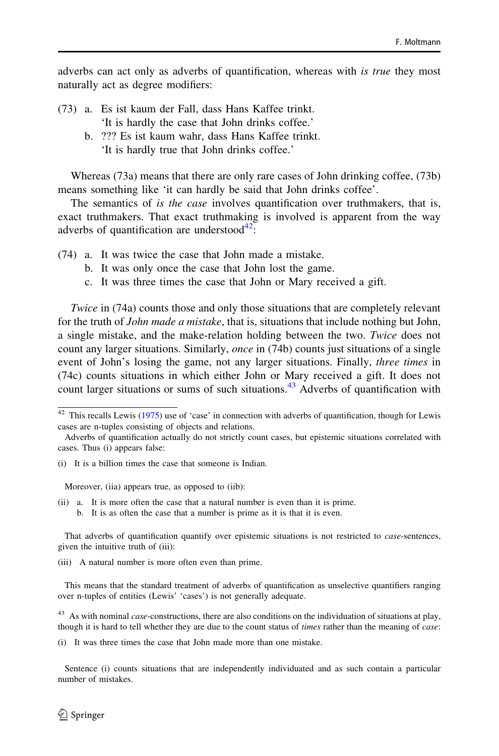adverbs can act only as adverbs of quantification, whereas with is true they most naturally act as degree modifiers:

- (73) a. Es ist kaum der Fall, dass Hans Kaffee trinkt. 'It is hardly the case that John drinks coffee.'
	- b. ??? Es ist kaum wahr, dass Hans Kaffee trinkt. 'It is hardly true that John drinks coffee.'

Whereas (73a) means that there are only rare cases of John drinking coffee, (73b) means something like 'it can hardly be said that John drinks coffee'.

The semantics of *is the case* involves quantification over truthmakers, that is, exact truthmakers. That exact truthmaking is involved is apparent from the way adverbs of quantification are understood $^{42}$ .

- (74) a. It was twice the case that John made a mistake.
	- b. It was only once the case that John lost the game.
	- c. It was three times the case that John or Mary received a gift.

Twice in (74a) counts those and only those situations that are completely relevant for the truth of *John made a mistake*, that is, situations that include nothing but John, a single mistake, and the make-relation holding between the two. Twice does not count any larger situations. Similarly, *once* in (74b) counts just situations of a single event of John's losing the game, not any larger situations. Finally, *three times* in (74c) counts situations in which either John or Mary received a gift. It does not count larger situations or sums of such situations.<sup>43</sup> Adverbs of quantification with

Moreover, (iia) appears true, as opposed to (iib):

(ii) a. It is more often the case that a natural number is even than it is prime. b. It is as often the case that a number is prime as it is that it is even.

That adverbs of quantification quantify over epistemic situations is not restricted to case-sentences, given the intuitive truth of (iii):

(iii) A natural number is more often even than prime.

This means that the standard treatment of adverbs of quantification as unselective quantifiers ranging over n-tuples of entities (Lewis' 'cases') is not generally adequate.

 $43$  As with nominal *case*-constructions, there are also conditions on the individuation of situations at play, though it is hard to tell whether they are due to the count status of times rather than the meaning of case:

(i) It was three times the case that John made more than one mistake.

Sentence (i) counts situations that are independently individuated and as such contain a particular number of mistakes.

 $42$  This recalls Lewis [\(1975](#page-39-0)) use of 'case' in connection with adverbs of quantification, though for Lewis cases are n-tuples consisting of objects and relations.

Adverbs of quantification actually do not strictly count cases, but epistemic situations correlated with cases. Thus (i) appears false:

<sup>(</sup>i) It is a billion times the case that someone is Indian.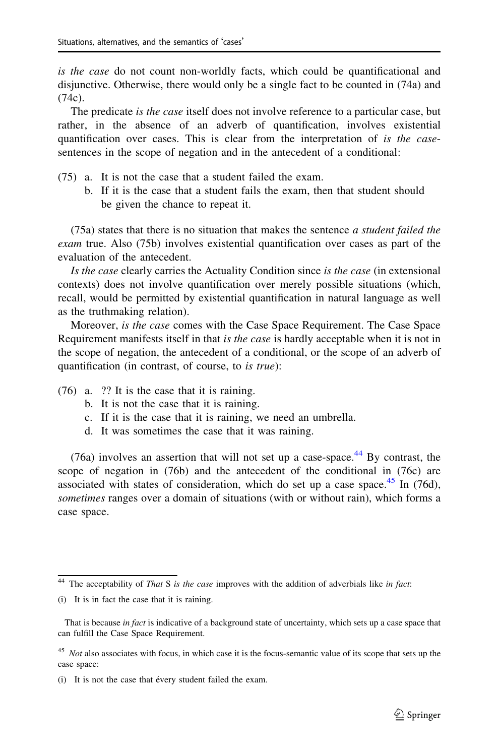is the case do not count non-worldly facts, which could be quantificational and disjunctive. Otherwise, there would only be a single fact to be counted in (74a) and (74c).

The predicate *is the case* itself does not involve reference to a particular case, but rather, in the absence of an adverb of quantification, involves existential quantification over cases. This is clear from the interpretation of is the casesentences in the scope of negation and in the antecedent of a conditional:

- (75) a. It is not the case that a student failed the exam.
	- b. If it is the case that a student fails the exam, then that student should be given the chance to repeat it.

(75a) states that there is no situation that makes the sentence a student failed the exam true. Also (75b) involves existential quantification over cases as part of the evaluation of the antecedent.

Is the case clearly carries the Actuality Condition since is the case (in extensional contexts) does not involve quantification over merely possible situations (which, recall, would be permitted by existential quantification in natural language as well as the truthmaking relation).

Moreover, is the case comes with the Case Space Requirement. The Case Space Requirement manifests itself in that is the case is hardly acceptable when it is not in the scope of negation, the antecedent of a conditional, or the scope of an adverb of quantification (in contrast, of course, to is true):

- (76) a. ?? It is the case that it is raining.
	- b. It is not the case that it is raining.
	- c. If it is the case that it is raining, we need an umbrella.
	- d. It was sometimes the case that it was raining.

(76a) involves an assertion that will not set up a case-space.<sup>44</sup> By contrast, the scope of negation in (76b) and the antecedent of the conditional in (76c) are associated with states of consideration, which do set up a case space. $45$  In (76d), sometimes ranges over a domain of situations (with or without rain), which forms a case space.

 $44$  The acceptability of That S is the case improves with the addition of adverbials like in fact:

<sup>(</sup>i) It is in fact the case that it is raining.

That is because in fact is indicative of a background state of uncertainty, which sets up a case space that can fulfill the Case Space Requirement.

<sup>&</sup>lt;sup>45</sup> Not also associates with focus, in which case it is the focus-semantic value of its scope that sets up the case space:

<sup>(</sup>i) It is not the case that évery student failed the exam.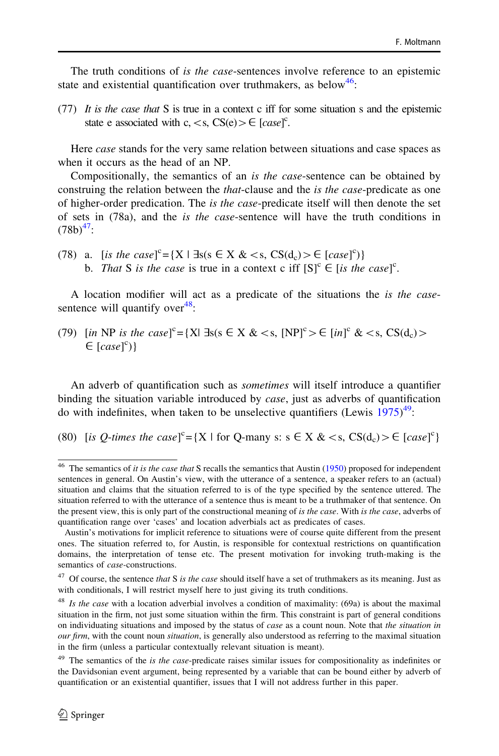The truth conditions of is the case-sentences involve reference to an epistemic state and existential quantification over truthmakers, as below<sup>46</sup>:

(77) It is the case that S is true in a context c iff for some situation s and the epistemic state e associated with c, < s, CS(e) >  $\in$  [case]<sup>c</sup>.

Here *case* stands for the very same relation between situations and case spaces as when it occurs as the head of an NP.

Compositionally, the semantics of an *is the case*-sentence can be obtained by construing the relation between the *that*-clause and the *is the case*-predicate as one of higher-order predication. The is the case-predicate itself will then denote the set of sets in (78a), and the is the case-sentence will have the truth conditions in  $(78b)^{47}$ :

(78) a. [is the case]<sup>c</sup>={X |  $\exists s (s \in X \< s, \text{CS}(d_c) > \in [case]^c)$ } b. That S is the case is true in a context c iff  $[S]^{c} \in [is the case]^{c}$ .

A location modifier will act as a predicate of the situations the is the casesentence will quantify over $48$ :

(79) [in NP is the case]<sup>c</sup>={X| ∃s(s  $\in$  X & <s, [NP]<sup>c</sup> >  $\in$  [in]<sup>c</sup> & <s, CS(d<sub>c</sub>) >  $\in [case]^c$ }

An adverb of quantification such as sometimes will itself introduce a quantifier binding the situation variable introduced by *case*, just as adverbs of quantification do with indefinites, when taken to be unselective quantifiers (Lewis  $1975)^{49}$  $1975)^{49}$ :

(80) [is *Q*-times the case]<sup>c</sup>={X | for *Q*-many s: s  $\in$  X & < s,  $CS(d_c)$  >  $\in$  [case]<sup>c</sup>}

 $46$  The semantics of *it is the case that* S recalls the semantics that Austin ([1950\)](#page-38-0) proposed for independent sentences in general. On Austin's view, with the utterance of a sentence, a speaker refers to an (actual) situation and claims that the situation referred to is of the type specified by the sentence uttered. The situation referred to with the utterance of a sentence thus is meant to be a truthmaker of that sentence. On the present view, this is only part of the constructional meaning of is the case. With is the case, adverbs of quantification range over 'cases' and location adverbials act as predicates of cases.

Austin's motivations for implicit reference to situations were of course quite different from the present ones. The situation referred to, for Austin, is responsible for contextual restrictions on quantification domains, the interpretation of tense etc. The present motivation for invoking truth-making is the semantics of case-constructions.

 $47$  Of course, the sentence that S is the case should itself have a set of truthmakers as its meaning. Just as with conditionals, I will restrict myself here to just giving its truth conditions.

 $48$  Is the case with a location adverbial involves a condition of maximality: (69a) is about the maximal situation in the firm, not just some situation within the firm. This constraint is part of general conditions on individuating situations and imposed by the status of case as a count noun. Note that the situation in our firm, with the count noun *situation*, is generally also understood as referring to the maximal situation in the firm (unless a particular contextually relevant situation is meant).

<sup>&</sup>lt;sup>49</sup> The semantics of the is the case-predicate raises similar issues for compositionality as indefinites or the Davidsonian event argument, being represented by a variable that can be bound either by adverb of quantification or an existential quantifier, issues that I will not address further in this paper.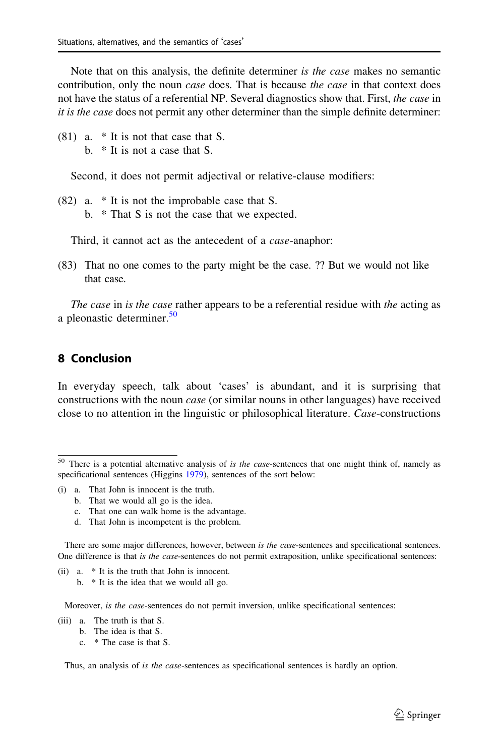Note that on this analysis, the definite determiner is the case makes no semantic contribution, only the noun *case* does. That is because the *case* in that context does not have the status of a referential NP. Several diagnostics show that. First, the case in it is the case does not permit any other determiner than the simple definite determiner:

(81) a. \* It is not that case that S. b. \* It is not a case that S.

Second, it does not permit adjectival or relative-clause modifiers:

(82) a. \* It is not the improbable case that S. b. \* That S is not the case that we expected.

Third, it cannot act as the antecedent of a *case*-anaphor:

(83) That no one comes to the party might be the case. ?? But we would not like that case.

The case in is the case rather appears to be a referential residue with the acting as a pleonastic determiner.<sup>50</sup>

#### 8 Conclusion

In everyday speech, talk about 'cases' is abundant, and it is surprising that constructions with the noun *case* (or similar nouns in other languages) have received close to no attention in the linguistic or philosophical literature. Case-constructions

- (i) a. That John is innocent is the truth.
	- b. That we would all go is the idea.
	- c. That one can walk home is the advantage.
	- d. That John is incompetent is the problem.

There are some major differences, however, between is the case-sentences and specificational sentences. One difference is that is the case-sentences do not permit extraposition, unlike specificational sentences:

- (ii) a. \* It is the truth that John is innocent.
	- b. \* It is the idea that we would all go.

Moreover, is the case-sentences do not permit inversion, unlike specificational sentences:

- (iii) a. The truth is that S.
	- b. The idea is that S.
	- c. \* The case is that S.

Thus, an analysis of *is the case*-sentences as specificational sentences is hardly an option.

 $50$  There is a potential alternative analysis of is the case-sentences that one might think of, namely as specificational sentences (Higgins [1979](#page-38-0)), sentences of the sort below: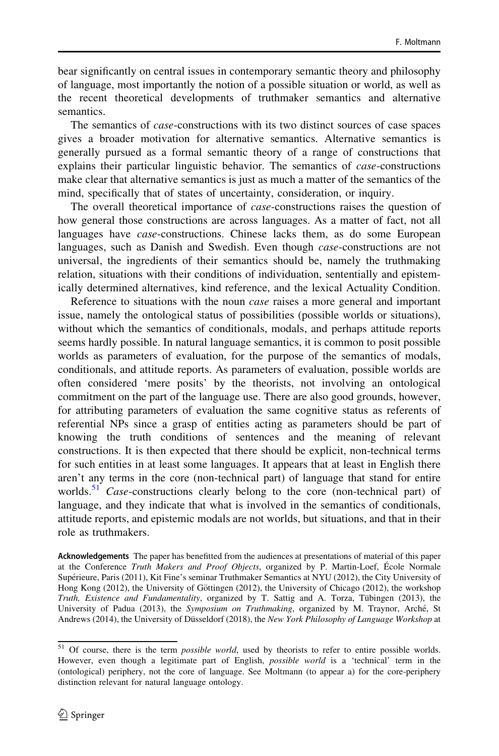bear significantly on central issues in contemporary semantic theory and philosophy of language, most importantly the notion of a possible situation or world, as well as the recent theoretical developments of truthmaker semantics and alternative semantics.

The semantics of case-constructions with its two distinct sources of case spaces gives a broader motivation for alternative semantics. Alternative semantics is generally pursued as a formal semantic theory of a range of constructions that explains their particular linguistic behavior. The semantics of case-constructions make clear that alternative semantics is just as much a matter of the semantics of the mind, specifically that of states of uncertainty, consideration, or inquiry.

The overall theoretical importance of *case*-constructions raises the question of how general those constructions are across languages. As a matter of fact, not all languages have *case*-constructions. Chinese lacks them, as do some European languages, such as Danish and Swedish. Even though *case*-constructions are not universal, the ingredients of their semantics should be, namely the truthmaking relation, situations with their conditions of individuation, sententially and epistemically determined alternatives, kind reference, and the lexical Actuality Condition.

Reference to situations with the noun *case* raises a more general and important issue, namely the ontological status of possibilities (possible worlds or situations), without which the semantics of conditionals, modals, and perhaps attitude reports seems hardly possible. In natural language semantics, it is common to posit possible worlds as parameters of evaluation, for the purpose of the semantics of modals, conditionals, and attitude reports. As parameters of evaluation, possible worlds are often considered 'mere posits' by the theorists, not involving an ontological commitment on the part of the language use. There are also good grounds, however, for attributing parameters of evaluation the same cognitive status as referents of referential NPs since a grasp of entities acting as parameters should be part of knowing the truth conditions of sentences and the meaning of relevant constructions. It is then expected that there should be explicit, non-technical terms for such entities in at least some languages. It appears that at least in English there aren't any terms in the core (non-technical part) of language that stand for entire worlds.<sup>51</sup> Case-constructions clearly belong to the core (non-technical part) of language, and they indicate that what is involved in the semantics of conditionals, attitude reports, and epistemic modals are not worlds, but situations, and that in their role as truthmakers.

Acknowledgements The paper has benefitted from the audiences at presentations of material of this paper at the Conference Truth Makers and Proof Objects, organized by P. Martin-Loef, École Normale Supérieure, Paris (2011), Kit Fine's seminar Truthmaker Semantics at NYU (2012), the City University of Hong Kong (2012), the University of Göttingen (2012), the University of Chicago (2012), the workshop Truth, Existence and Fundamentality, organized by T. Sattig and A. Torza, Tübingen (2013), the University of Padua (2013), the Symposium on Truthmaking, organized by M. Traynor, Arché, St Andrews (2014), the University of Düsseldorf (2018), the New York Philosophy of Language Workshop at

<sup>&</sup>lt;sup>51</sup> Of course, there is the term *possible world*, used by theorists to refer to entire possible worlds. However, even though a legitimate part of English, possible world is a 'technical' term in the (ontological) periphery, not the core of language. See Moltmann (to appear a) for the core-periphery distinction relevant for natural language ontology.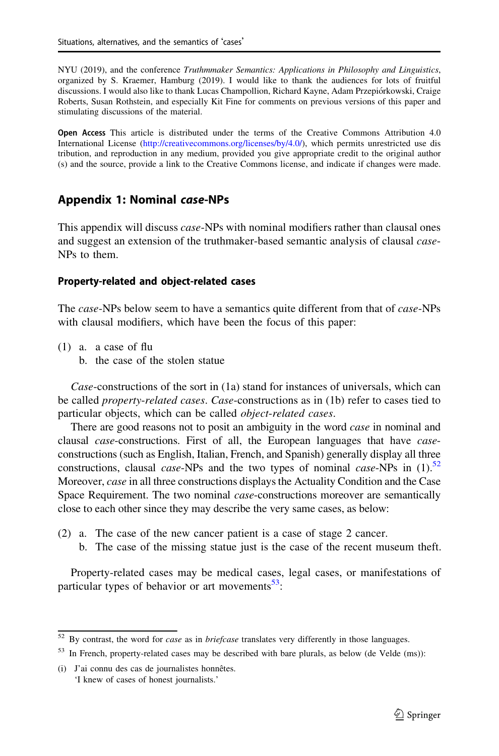<span id="page-32-0"></span>NYU (2019), and the conference Truthmmaker Semantics: Applications in Philosophy and Linguistics, organized by S. Kraemer, Hamburg (2019). I would like to thank the audiences for lots of fruitful discussions. I would also like to thank Lucas Champollion, Richard Kayne, Adam Przepio´rkowski, Craige Roberts, Susan Rothstein, and especially Kit Fine for comments on previous versions of this paper and stimulating discussions of the material.

Open Access This article is distributed under the terms of the Creative Commons Attribution 4.0 International License [\(http://creativecommons.org/licenses/by/4.0/](http://creativecommons.org/licenses/by/4.0/)), which permits unrestricted use dis tribution, and reproduction in any medium, provided you give appropriate credit to the original author (s) and the source, provide a link to the Creative Commons license, and indicate if changes were made.

## Appendix 1: Nominal case-NPs

This appendix will discuss *case*-NPs with nominal modifiers rather than clausal ones and suggest an extension of the truthmaker-based semantic analysis of clausal case-NPs to them.

### Property-related and object-related cases

The *case*-NPs below seem to have a semantics quite different from that of *case*-NPs with clausal modifiers, which have been the focus of this paper:

- (1) a. a case of flu
	- b. the case of the stolen statue

Case-constructions of the sort in (1a) stand for instances of universals, which can be called *property-related cases. Case-constructions as in (1b)* refer to cases tied to particular objects, which can be called *object-related cases*.

There are good reasons not to posit an ambiguity in the word *case* in nominal and clausal *case*-constructions. First of all, the European languages that have *case*constructions (such as English, Italian, French, and Spanish) generally display all three constructions, clausal *case*-NPs and the two types of nominal *case*-NPs in  $(1)$ .<sup>52</sup> Moreover, *case* in all three constructions displays the Actuality Condition and the Case Space Requirement. The two nominal *case*-constructions moreover are semantically close to each other since they may describe the very same cases, as below:

- (2) a. The case of the new cancer patient is a case of stage 2 cancer.
	- b. The case of the missing statue just is the case of the recent museum theft.

Property-related cases may be medical cases, legal cases, or manifestations of particular types of behavior or art movements $53$ :

 $52$  By contrast, the word for *case* as in *briefcase* translates very differently in those languages.

<sup>&</sup>lt;sup>53</sup> In French, property-related cases may be described with bare plurals, as below (de Velde (ms)):

 $(i)$  J'ai connu des cas de journalistes honnêtes. 'I knew of cases of honest journalists.'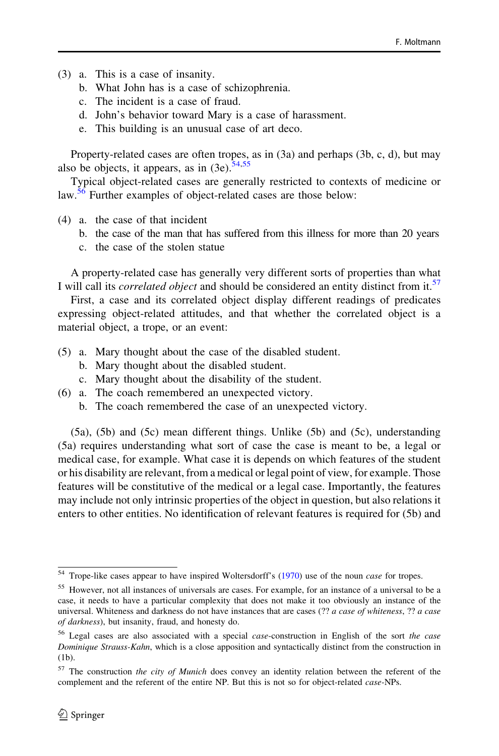- (3) a. This is a case of insanity.
	- b. What John has is a case of schizophrenia.
	- c. The incident is a case of fraud.
	- d. John's behavior toward Mary is a case of harassment.
	- e. This building is an unusual case of art deco.

Property-related cases are often tropes, as in (3a) and perhaps (3b, c, d), but may also be objects, it appears, as in  $(3e)$ .  $\frac{54,55}{6}$ 

Typical object-related cases are generally restricted to contexts of medicine or law.<sup>56</sup> Further examples of object-related cases are those below:

- (4) a. the case of that incident
	- b. the case of the man that has suffered from this illness for more than 20 years
	- c. the case of the stolen statue

A property-related case has generally very different sorts of properties than what I will call its *correlated object* and should be considered an entity distinct from it.<sup>57</sup>

First, a case and its correlated object display different readings of predicates expressing object-related attitudes, and that whether the correlated object is a material object, a trope, or an event:

- (5) a. Mary thought about the case of the disabled student.
	- b. Mary thought about the disabled student.
	- c. Mary thought about the disability of the student.
- (6) a. The coach remembered an unexpected victory.
	- b. The coach remembered the case of an unexpected victory.

(5a), (5b) and (5c) mean different things. Unlike (5b) and (5c), understanding (5a) requires understanding what sort of case the case is meant to be, a legal or medical case, for example. What case it is depends on which features of the student or his disability are relevant, from a medical or legal point of view, for example. Those features will be constitutive of the medical or a legal case. Importantly, the features may include not only intrinsic properties of the object in question, but also relations it enters to other entities. No identification of relevant features is required for (5b) and

<sup>&</sup>lt;sup>54</sup> Trope-like cases appear to have inspired Woltersdorff's ([1970\)](#page-40-0) use of the noun *case* for tropes.

<sup>&</sup>lt;sup>55</sup> However, not all instances of universals are cases. For example, for an instance of a universal to be a case, it needs to have a particular complexity that does not make it too obviously an instance of the universal. Whiteness and darkness do not have instances that are cases (?? a case of whiteness, ?? a case of darkness), but insanity, fraud, and honesty do.

<sup>56</sup> Legal cases are also associated with a special case-construction in English of the sort the case Dominique Strauss-Kahn, which is a close apposition and syntactically distinct from the construction in (1b).

 $57$  The construction the city of Munich does convey an identity relation between the referent of the complement and the referent of the entire NP. But this is not so for object-related *case*-NPs.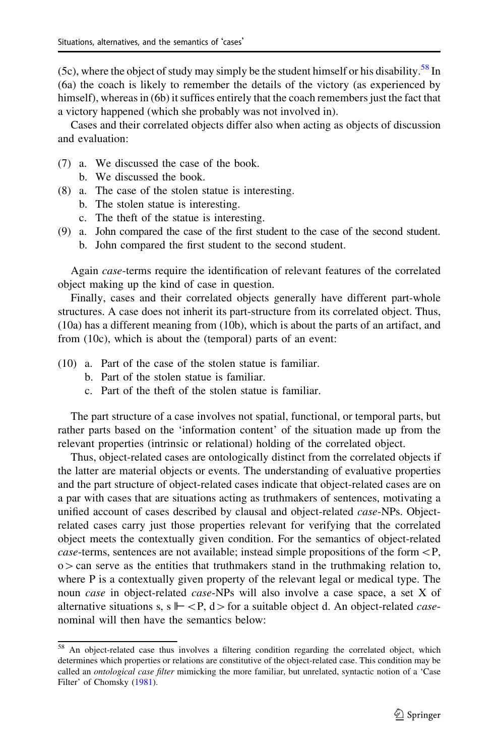(5c), where the object of study may simply be the student himself or his disability.<sup>58</sup> In (6a) the coach is likely to remember the details of the victory (as experienced by himself), whereas in (6b) it suffices entirely that the coach remembers just the fact that a victory happened (which she probably was not involved in).

Cases and their correlated objects differ also when acting as objects of discussion and evaluation:

- (7) a. We discussed the case of the book.
	- b. We discussed the book.
- (8) a. The case of the stolen statue is interesting.
	- b. The stolen statue is interesting.
	- c. The theft of the statue is interesting.
- (9) a. John compared the case of the first student to the case of the second student.
	- b. John compared the first student to the second student.

Again case-terms require the identification of relevant features of the correlated object making up the kind of case in question.

Finally, cases and their correlated objects generally have different part-whole structures. A case does not inherit its part-structure from its correlated object. Thus, (10a) has a different meaning from (10b), which is about the parts of an artifact, and from (10c), which is about the (temporal) parts of an event:

- (10) a. Part of the case of the stolen statue is familiar.
	- b. Part of the stolen statue is familiar.
	- c. Part of the theft of the stolen statue is familiar.

The part structure of a case involves not spatial, functional, or temporal parts, but rather parts based on the 'information content' of the situation made up from the relevant properties (intrinsic or relational) holding of the correlated object.

Thus, object-related cases are ontologically distinct from the correlated objects if the latter are material objects or events. The understanding of evaluative properties and the part structure of object-related cases indicate that object-related cases are on a par with cases that are situations acting as truthmakers of sentences, motivating a unified account of cases described by clausal and object-related *case*-NPs. Objectrelated cases carry just those properties relevant for verifying that the correlated object meets the contextually given condition. For the semantics of object-related case-terms, sentences are not available; instead simple propositions of the form  $\langle P, \rangle$  $\infty$  can serve as the entities that truthmakers stand in the truthmaking relation to, where P is a contextually given property of the relevant legal or medical type. The noun case in object-related case-NPs will also involve a case space, a set X of alternative situations s, s  $\Vdash \langle P, d \rangle$  for a suitable object d. An object-related *case*nominal will then have the semantics below:

<sup>&</sup>lt;sup>58</sup> An object-related case thus involves a filtering condition regarding the correlated object, which determines which properties or relations are constitutive of the object-related case. This condition may be called an *ontological case filter* mimicking the more familiar, but unrelated, syntactic notion of a 'Case Filter' of Chomsky ([1981\)](#page-38-0).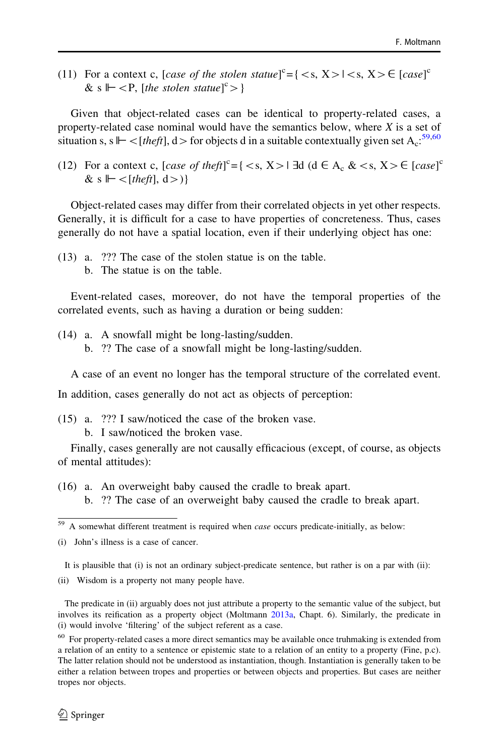(11) For a context c, [case of the stolen statue]<sup>c</sup>={ $\langle \langle s, X \rangle$  \exterminity  $(X \rangle \in [case]^c$ & s  $\vdash$  < P, [the stolen statue]<sup>c</sup> > }

Given that object-related cases can be identical to property-related cases, a property-related case nominal would have the semantics below, where  $X$  is a set of situation s, s  $\mathbb{H} <$  [theft], d > for objects d in a suitable contextually given set A<sub>c</sub>:<sup>59,60</sup>

(12) For a context c, [case of the ft]<sup>c</sup> = {  $\langle s, X \rangle$  |  $\exists d$  (d  $\in A_c$  &  $\langle s, X \rangle \in [case]^c$ & s  $\|$  < [theft], d > )}

Object-related cases may differ from their correlated objects in yet other respects. Generally, it is difficult for a case to have properties of concreteness. Thus, cases generally do not have a spatial location, even if their underlying object has one:

- (13) a. ??? The case of the stolen statue is on the table.
	- b. The statue is on the table.

Event-related cases, moreover, do not have the temporal properties of the correlated events, such as having a duration or being sudden:

(14) a. A snowfall might be long-lasting/sudden. b. ?? The case of a snowfall might be long-lasting/sudden.

A case of an event no longer has the temporal structure of the correlated event.

In addition, cases generally do not act as objects of perception:

- (15) a. ??? I saw/noticed the case of the broken vase.
	- b. I saw/noticed the broken vase.

Finally, cases generally are not causally efficacious (except, of course, as objects of mental attitudes):

(16) a. An overweight baby caused the cradle to break apart. b. ?? The case of an overweight baby caused the cradle to break apart.

(i) John's illness is a case of cancer.

It is plausible that (i) is not an ordinary subject-predicate sentence, but rather is on a par with (ii):

(ii) Wisdom is a property not many people have.

The predicate in (ii) arguably does not just attribute a property to the semantic value of the subject, but involves its reification as a property object (Moltmann [2013a](#page-39-0), Chapt. 6). Similarly, the predicate in (i) would involve 'filtering' of the subject referent as a case.

<sup>&</sup>lt;sup>59</sup> A somewhat different treatment is required when *case* occurs predicate-initially, as below:

 $60$  For property-related cases a more direct semantics may be available once truhmaking is extended from a relation of an entity to a sentence or epistemic state to a relation of an entity to a property (Fine, p.c). The latter relation should not be understood as instantiation, though. Instantiation is generally taken to be either a relation between tropes and properties or between objects and properties. But cases are neither tropes nor objects.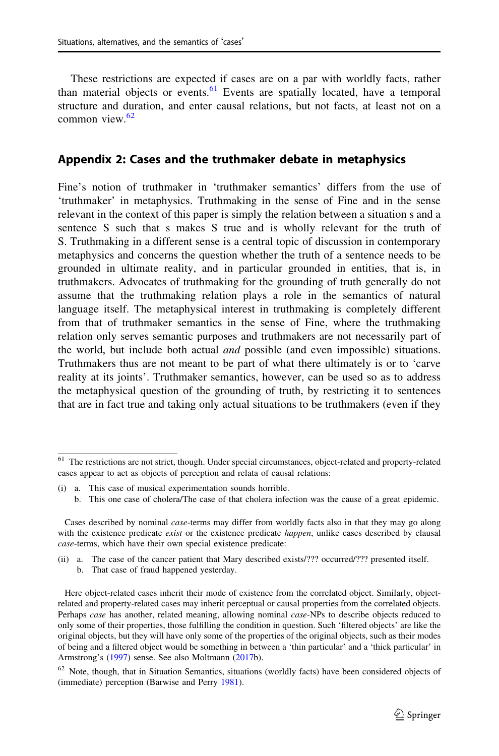<span id="page-36-0"></span>These restrictions are expected if cases are on a par with worldly facts, rather than material objects or events.<sup>61</sup> Events are spatially located, have a temporal structure and duration, and enter causal relations, but not facts, at least not on a common view. $62$ 

#### Appendix 2: Cases and the truthmaker debate in metaphysics

Fine's notion of truthmaker in 'truthmaker semantics' differs from the use of 'truthmaker' in metaphysics. Truthmaking in the sense of Fine and in the sense relevant in the context of this paper is simply the relation between a situation s and a sentence S such that s makes S true and is wholly relevant for the truth of S. Truthmaking in a different sense is a central topic of discussion in contemporary metaphysics and concerns the question whether the truth of a sentence needs to be grounded in ultimate reality, and in particular grounded in entities, that is, in truthmakers. Advocates of truthmaking for the grounding of truth generally do not assume that the truthmaking relation plays a role in the semantics of natural language itself. The metaphysical interest in truthmaking is completely different from that of truthmaker semantics in the sense of Fine, where the truthmaking relation only serves semantic purposes and truthmakers are not necessarily part of the world, but include both actual and possible (and even impossible) situations. Truthmakers thus are not meant to be part of what there ultimately is or to 'carve reality at its joints'. Truthmaker semantics, however, can be used so as to address the metaphysical question of the grounding of truth, by restricting it to sentences that are in fact true and taking only actual situations to be truthmakers (even if they

- (ii) a. The case of the cancer patient that Mary described exists/??? occurred/??? presented itself.
	- b. That case of fraud happened yesterday.

 $61$  The restrictions are not strict, though. Under special circumstances, object-related and property-related cases appear to act as objects of perception and relata of causal relations:

<sup>(</sup>i) a. This case of musical experimentation sounds horrible.

b. This one case of cholera/The case of that cholera infection was the cause of a great epidemic.

Cases described by nominal case-terms may differ from worldly facts also in that they may go along with the existence predicate exist or the existence predicate happen, unlike cases described by clausal case-terms, which have their own special existence predicate:

Here object-related cases inherit their mode of existence from the correlated object. Similarly, objectrelated and property-related cases may inherit perceptual or causal properties from the correlated objects. Perhaps case has another, related meaning, allowing nominal case-NPs to describe objects reduced to only some of their properties, those fulfilling the condition in question. Such 'filtered objects' are like the original objects, but they will have only some of the properties of the original objects, such as their modes of being and a filtered object would be something in between a 'thin particular' and a 'thick particular' in Armstrong's [\(1997](#page-38-0)) sense. See also Moltmann ([2017b](#page-39-0)).

<sup>62</sup> Note, though, that in Situation Semantics, situations (worldly facts) have been considered objects of (immediate) perception (Barwise and Perry [1981](#page-38-0)).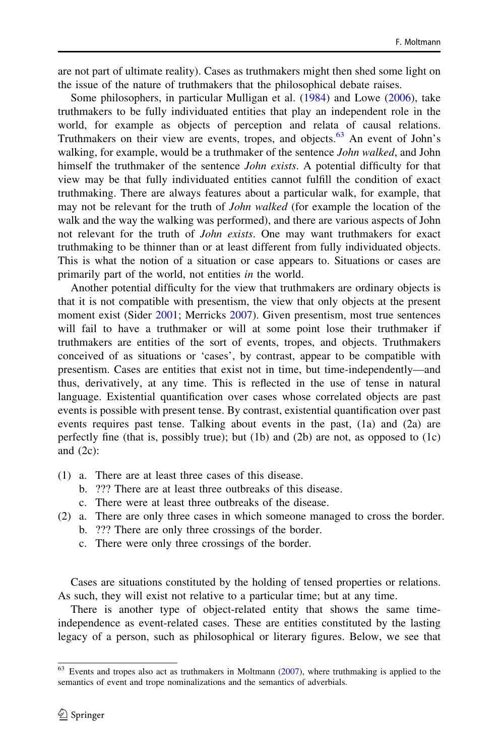are not part of ultimate reality). Cases as truthmakers might then shed some light on the issue of the nature of truthmakers that the philosophical debate raises.

Some philosophers, in particular Mulligan et al. [\(1984](#page-39-0)) and Lowe [\(2006](#page-39-0)), take truthmakers to be fully individuated entities that play an independent role in the world, for example as objects of perception and relata of causal relations. Truthmakers on their view are events, tropes, and objects.<sup>63</sup> An event of John's walking, for example, would be a truthmaker of the sentence *John walked*, and John himself the truthmaker of the sentence *John exists*. A potential difficulty for that view may be that fully individuated entities cannot fulfill the condition of exact truthmaking. There are always features about a particular walk, for example, that may not be relevant for the truth of *John walked* (for example the location of the walk and the way the walking was performed), and there are various aspects of John not relevant for the truth of *John exists*. One may want truthmakers for exact truthmaking to be thinner than or at least different from fully individuated objects. This is what the notion of a situation or case appears to. Situations or cases are primarily part of the world, not entities in the world.

Another potential difficulty for the view that truthmakers are ordinary objects is that it is not compatible with presentism, the view that only objects at the present moment exist (Sider [2001](#page-39-0); Merricks [2007](#page-39-0)). Given presentism, most true sentences will fail to have a truthmaker or will at some point lose their truthmaker if truthmakers are entities of the sort of events, tropes, and objects. Truthmakers conceived of as situations or 'cases', by contrast, appear to be compatible with presentism. Cases are entities that exist not in time, but time-independently—and thus, derivatively, at any time. This is reflected in the use of tense in natural language. Existential quantification over cases whose correlated objects are past events is possible with present tense. By contrast, existential quantification over past events requires past tense. Talking about events in the past, (1a) and (2a) are perfectly fine (that is, possibly true); but (1b) and (2b) are not, as opposed to (1c) and  $(2c)$ :

- (1) a. There are at least three cases of this disease.
	- b. ??? There are at least three outbreaks of this disease.
	- c. There were at least three outbreaks of the disease.
- (2) a. There are only three cases in which someone managed to cross the border.
	- b. ??? There are only three crossings of the border.
	- c. There were only three crossings of the border.

Cases are situations constituted by the holding of tensed properties or relations. As such, they will exist not relative to a particular time; but at any time.

There is another type of object-related entity that shows the same timeindependence as event-related cases. These are entities constituted by the lasting legacy of a person, such as philosophical or literary figures. Below, we see that

 $63$  Events and tropes also act as truthmakers in Moltmann ([2007\)](#page-39-0), where truthmaking is applied to the semantics of event and trope nominalizations and the semantics of adverbials.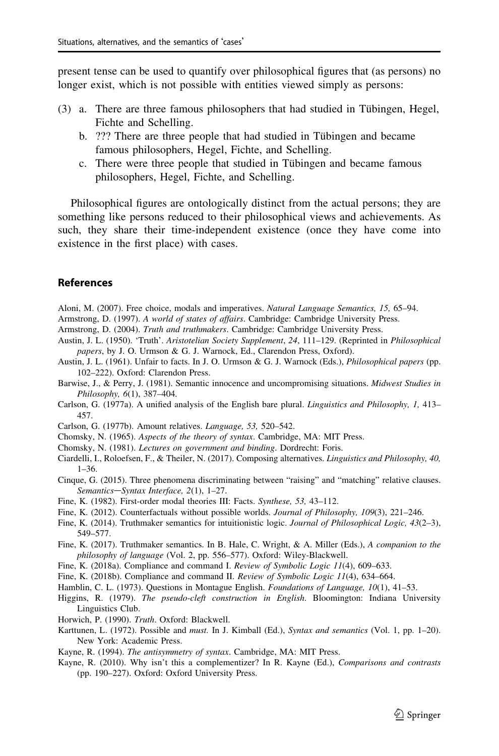<span id="page-38-0"></span>present tense can be used to quantify over philosophical figures that (as persons) no longer exist, which is not possible with entities viewed simply as persons:

- $(3)$  a. There are three famous philosophers that had studied in Tübingen, Hegel, Fichte and Schelling.
	- b. ??? There are three people that had studied in Tübingen and became famous philosophers, Hegel, Fichte, and Schelling.
	- c. There were three people that studied in Tübingen and became famous philosophers, Hegel, Fichte, and Schelling.

Philosophical figures are ontologically distinct from the actual persons; they are something like persons reduced to their philosophical views and achievements. As such, they share their time-independent existence (once they have come into existence in the first place) with cases.

#### References

Aloni, M. (2007). Free choice, modals and imperatives. Natural Language Semantics, 15, 65–94.

- Armstrong, D. (1997). A world of states of affairs. Cambridge: Cambridge University Press.
- Armstrong, D. (2004). Truth and truthmakers. Cambridge: Cambridge University Press.
- Austin, J. L. (1950). 'Truth'. Aristotelian Society Supplement, 24, 111–129. (Reprinted in Philosophical papers, by J. O. Urmson & G. J. Warnock, Ed., Clarendon Press, Oxford).
- Austin, J. L. (1961). Unfair to facts. In J. O. Urmson & G. J. Warnock (Eds.), Philosophical papers (pp. 102–222). Oxford: Clarendon Press.
- Barwise, J., & Perry, J. (1981). Semantic innocence and uncompromising situations. Midwest Studies in Philosophy, 6(1), 387–404.
- Carlson, G. (1977a). A unified analysis of the English bare plural. Linguistics and Philosophy, 1, 413– 457.
- Carlson, G. (1977b). Amount relatives. Language, 53, 520–542.
- Chomsky, N. (1965). Aspects of the theory of syntax. Cambridge, MA: MIT Press.
- Chomsky, N. (1981). Lectures on government and binding. Dordrecht: Foris.
- Ciardelli, I., Roloefsen, F., & Theiler, N. (2017). Composing alternatives. Linguistics and Philosophy, 40, 1–36.
- Cinque, G. (2015). Three phenomena discriminating between "raising" and "matching" relative clauses. Semantics–Syntax Interface, 2(1), 1–27.
- Fine, K. (1982). First-order modal theories III: Facts. Synthese, 53, 43–112.
- Fine, K. (2012). Counterfactuals without possible worlds. Journal of Philosophy, 109(3), 221-246.
- Fine, K. (2014). Truthmaker semantics for intuitionistic logic. Journal of Philosophical Logic, 43(2–3), 549–577.
- Fine, K. (2017). Truthmaker semantics. In B. Hale, C. Wright, & A. Miller (Eds.), A companion to the philosophy of language (Vol. 2, pp. 556–577). Oxford: Wiley-Blackwell.
- Fine, K. (2018a). Compliance and command I. Review of Symbolic Logic 11(4), 609-633.
- Fine, K. (2018b). Compliance and command II. Review of Symbolic Logic 11(4), 634–664.
- Hamblin, C. L. (1973). Questions in Montague English. Foundations of Language, 10(1), 41–53.
- Higgins, R. (1979). The pseudo-cleft construction in English. Bloomington: Indiana University Linguistics Club.
- Horwich, P. (1990). Truth. Oxford: Blackwell.
- Karttunen, L. (1972). Possible and must. In J. Kimball (Ed.), Syntax and semantics (Vol. 1, pp. 1–20). New York: Academic Press.
- Kayne, R. (1994). The antisymmetry of syntax. Cambridge, MA: MIT Press.
- Kayne, R. (2010). Why isn't this a complementizer? In R. Kayne (Ed.), Comparisons and contrasts (pp. 190–227). Oxford: Oxford University Press.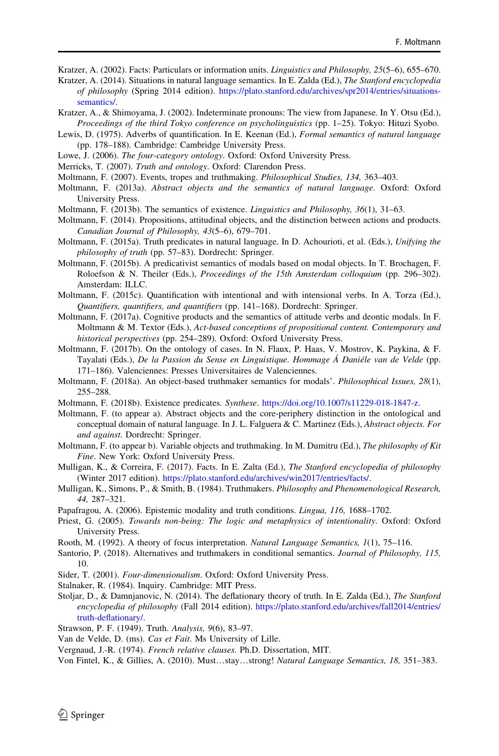<span id="page-39-0"></span>Kratzer, A. (2002). Facts: Particulars or information units. Linguistics and Philosophy, 25(5–6), 655–670.

Kratzer, A. (2014). Situations in natural language semantics. In E. Zalda (Ed.), The Stanford encyclopedia of philosophy (Spring 2014 edition). [https://plato.stanford.edu/archives/spr2014/entries/situations](https://plato.stanford.edu/archives/spr2014/entries/situations-semantics/)[semantics/.](https://plato.stanford.edu/archives/spr2014/entries/situations-semantics/)

- Kratzer, A., & Shimoyama, J. (2002). Indeterminate pronouns: The view from Japanese. In Y. Otsu (Ed.), Proceedings of the third Tokyo conference on psycholinguistics (pp. 1–25). Tokyo: Hituzi Syobo.
- Lewis, D. (1975). Adverbs of quantification. In E. Keenan (Ed.), *Formal semantics of natural language* (pp. 178–188). Cambridge: Cambridge University Press.
- Lowe, J. (2006). The four-category ontology. Oxford: Oxford University Press.
- Merricks, T. (2007). Truth and ontology. Oxford: Clarendon Press.
- Moltmann, F. (2007). Events, tropes and truthmaking. Philosophical Studies, 134, 363–403.
- Moltmann, F. (2013a). Abstract objects and the semantics of natural language. Oxford: Oxford University Press.
- Moltmann, F. (2013b). The semantics of existence. Linguistics and Philosophy, 36(1), 31–63.
- Moltmann, F. (2014). Propositions, attitudinal objects, and the distinction between actions and products. Canadian Journal of Philosophy, 43(5–6), 679–701.
- Moltmann, F. (2015a). Truth predicates in natural language. In D. Achourioti, et al. (Eds.), Unifying the philosophy of truth (pp. 57–83). Dordrecht: Springer.
- Moltmann, F. (2015b). A predicativist semantics of modals based on modal objects. In T. Brochagen, F. Roloefson & N. Theiler (Eds.), Proceedings of the 15th Amsterdam colloquium (pp. 296–302). Amsterdam: ILLC.
- Moltmann, F. (2015c). Quantification with intentional and with intensional verbs. In A. Torza (Ed.), Quantifiers, quantifiers, and quantifiers (pp. 141–168). Dordrecht: Springer.
- Moltmann, F. (2017a). Cognitive products and the semantics of attitude verbs and deontic modals. In F. Moltmann & M. Textor (Eds.), Act-based conceptions of propositional content. Contemporary and historical perspectives (pp. 254–289). Oxford: Oxford University Press.
- Moltmann, F. (2017b). On the ontology of cases. In N. Flaux, P. Haas, V. Mostrov, K. Paykina, & F. Tayalati (Eds.), De la Passion du Sense en Linguistique. Hommage Á Daniéle van de Velde (pp. 171–186). Valenciennes: Presses Universitaires de Valenciennes.
- Moltmann, F. (2018a). An object-based truthmaker semantics for modals'. Philosophical Issues, 28(1), 255–288.
- Moltmann, F. (2018b). Existence predicates. Synthese. [https://doi.org/10.1007/s11229-018-1847-z.](https://plato.stanford.edu/archives/win2017/entries/facts/)
- Moltmann, F. (to appear a). Abstract objects and the core-periphery distinction in the ontological and conceptual domain of natural language. In J. L. Falguera & C. Martinez (Eds.), Abstract objects. For and against. Dordrecht: Springer.
- Moltmann, F. (to appear b). Variable objects and truthmaking. In M. Dumitru (Ed.), The philosophy of Kit Fine. New York: Oxford University Press.
- Mulligan, K., & Correira, F. (2017). Facts. In E. Zalta (Ed.), The Stanford encyclopedia of philosophy (Winter 2017 edition). <https://plato.stanford.edu/archives/win2017/entries/facts/>.
- Mulligan, K., Simons, P., & Smith, B. (1984). Truthmakers. Philosophy and Phenomenological Research, 44, 287–321.
- Papafragou, A. (2006). Epistemic modality and truth conditions. Lingua, 116, 1688-1702.
- Priest, G. (2005). Towards non-being: The logic and metaphysics of intentionality. Oxford: Oxford University Press.
- Rooth, M. (1992). A theory of focus interpretation. Natural Language Semantics, 1(1), 75–116.
- Santorio, P. (2018). Alternatives and truthmakers in conditional semantics. Journal of Philosophy, 115, 10.
- Sider, T. (2001). Four-dimensionalism. Oxford: Oxford University Press.
- Stalnaker, R. (1984). Inquiry. Cambridge: MIT Press.
- Stoljar, D., & Damnjanovic, N. (2014). The deflationary theory of truth. In E. Zalda (Ed.), The Stanford encyclopedia of philosophy (Fall 2014 edition). [https://plato.stanford.edu/archives/fall2014/entries/](https://plato.stanford.edu/archives/fall2014/entries/truth-deflationary/) [truth-deflationary/](https://plato.stanford.edu/archives/fall2014/entries/truth-deflationary/).
- Strawson, P. F. (1949). Truth. Analysis, 9(6), 83–97.
- Van de Velde, D. (ms). Cas et Fait. Ms University of Lille.
- Vergnaud, J.-R. (1974). French relative clauses. Ph.D. Dissertation, MIT.
- Von Fintel, K., & Gillies, A. (2010). Must…stay…strong! Natural Language Semantics, 18, 351–383.